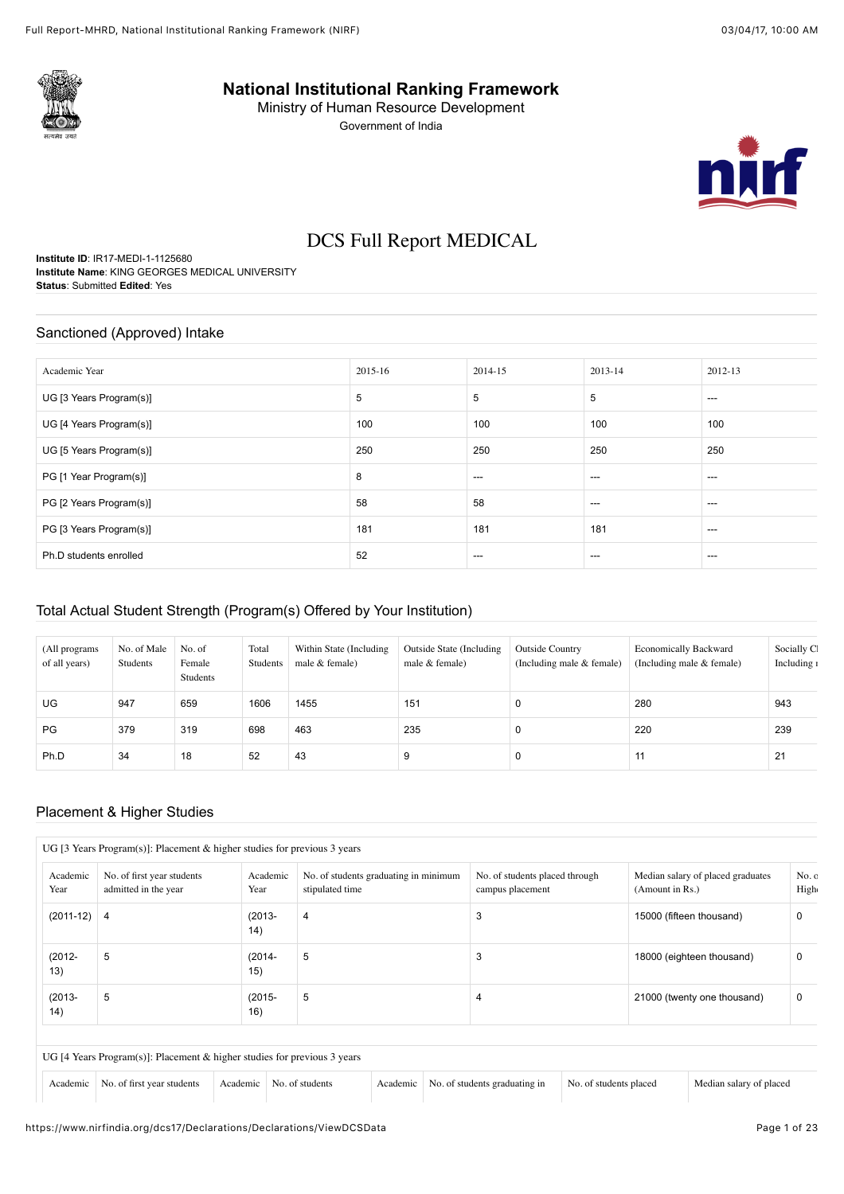

**National Institutional Ranking Framework**

Ministry of Human Resource Development Government of India



# DCS Full Report MEDICAL

**Institute ID**: IR17-MEDI-1-1125680 **Institute Name**: KING GEORGES MEDICAL UNIVERSITY **Status**: Submitted **Edited**: Yes

#### Sanctioned (Approved) Intake

| Academic Year           | 2015-16 | 2014-15 | 2013-14 | 2012-13 |
|-------------------------|---------|---------|---------|---------|
| UG [3 Years Program(s)] | 5       | 5       | 5       | $---$   |
| UG [4 Years Program(s)] | 100     | 100     | 100     | 100     |
| UG [5 Years Program(s)] | 250     | 250     | 250     | 250     |
| PG [1 Year Program(s)]  | 8       | $---$   | ---     | $---$   |
| PG [2 Years Program(s)] | 58      | 58      | $---$   | ---     |
| PG [3 Years Program(s)] | 181     | 181     | 181     | $---$   |
| Ph.D students enrolled  | 52      | $---$   | $-- -$  | $---$   |

## Total Actual Student Strength (Program(s) Offered by Your Institution)

| (All programs<br>of all years) | No. of Male<br>Students | No. of<br>Female<br>Students | Total<br>Students | Within State (Including)<br>male $&$ female) | Outside State (Including<br>male $&$ female) | <b>Outside Country</b><br>(Including male & female) | <b>Economically Backward</b><br>(Including male & female) | Socially C<br>Including 1 |
|--------------------------------|-------------------------|------------------------------|-------------------|----------------------------------------------|----------------------------------------------|-----------------------------------------------------|-----------------------------------------------------------|---------------------------|
| <b>UG</b>                      | 947                     | 659                          | 1606              | 1455                                         | 151                                          | 0                                                   | 280                                                       | 943                       |
| PG                             | 379                     | 319                          | 698               | 463                                          | 235                                          | $\Omega$                                            | 220                                                       | 239                       |
| Ph.D                           | 34                      | 18                           | 52                | 43                                           | 9                                            | 0                                                   | 11                                                        | 21                        |

## Placement & Higher Studies

| Year              | No. of first year students<br>admitted in the year | Academic<br>Year  | No. of students graduating in minimum<br>stipulated time | No. of students placed through<br>campus placement | Median salary of placed graduates<br>(Amount in Rs.) | No. c<br>High |
|-------------------|----------------------------------------------------|-------------------|----------------------------------------------------------|----------------------------------------------------|------------------------------------------------------|---------------|
| $(2011-12)$ 4     |                                                    | $(2013 -$<br>(14) | 4                                                        | 3                                                  | 15000 (fifteen thousand)                             | 0             |
| $(2012 -$<br>13)  | 5                                                  | $(2014 -$<br>15)  | 5                                                        | 3                                                  | 18000 (eighteen thousand)                            | 0             |
| $(2013 -$<br>(14) | 5                                                  | $(2015 -$<br>16)  | 5                                                        | 4                                                  | 21000 (twenty one thousand)                          | 0             |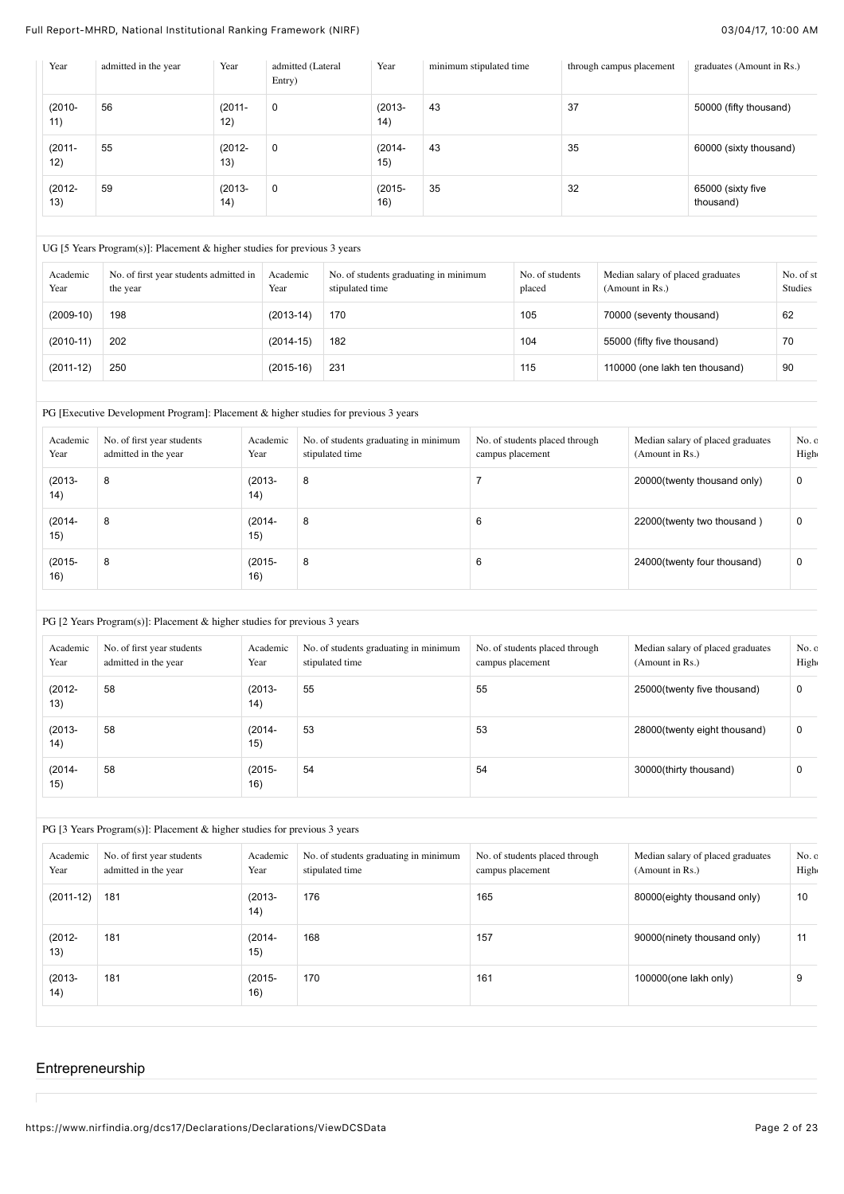| Year             | admitted in the year | Year             | admitted (Lateral<br>Entry) | Year              | minimum stipulated time | through campus placement | graduates (Amount in Rs.)      |
|------------------|----------------------|------------------|-----------------------------|-------------------|-------------------------|--------------------------|--------------------------------|
| $(2010 -$<br>11) | 56                   | $(2011 -$<br>12) | $\mathbf 0$                 | $(2013 -$<br>(14) | 43                      | 37                       | 50000 (fifty thousand)         |
| $(2011 -$<br>12) | 55                   | $(2012 -$<br>13) | $\mathbf 0$                 | $(2014 -$<br>15)  | 43                      | 35                       | 60000 (sixty thousand)         |
| $(2012 -$<br>13) | 59                   | $(2013 -$<br>14) | $\mathbf 0$                 | $(2015 -$<br>16)  | 35                      | 32                       | 65000 (sixty five<br>thousand) |

#### UG [5 Years Program(s)]: Placement & higher studies for previous 3 years

| Academic<br>Year | No. of first year students admitted in<br>the year | Academic<br>Year | No. of students graduating in minimum<br>stipulated time | No. of students<br>placed | Median salary of placed graduates<br>(Amount in Rs.) | No. of st<br>Studies |
|------------------|----------------------------------------------------|------------------|----------------------------------------------------------|---------------------------|------------------------------------------------------|----------------------|
| $(2009-10)$      | 198                                                | $(2013-14)$      | 170                                                      | 105                       | 70000 (seventy thousand)                             | 62                   |
| $(2010-11)$      | 202                                                | $(2014-15)$      | 182                                                      | 104                       | 55000 (fifty five thousand)                          | 70                   |
| $(2011-12)$      | 250                                                | $(2015-16)$      | 231                                                      | 115                       | 110000 (one lakh ten thousand)                       | 90                   |

# PG [Executive Development Program]: Placement & higher studies for previous 3 years

| Academic<br>Year | No. of first year students<br>admitted in the year | Academic<br>Year  | No. of students graduating in minimum<br>stipulated time | No. of students placed through<br>campus placement | Median salary of placed graduates<br>(Amount in Rs.) | No.c<br>High |
|------------------|----------------------------------------------------|-------------------|----------------------------------------------------------|----------------------------------------------------|------------------------------------------------------|--------------|
| $(2013 -$<br>14) | 8                                                  | $(2013 -$<br>(14) | 8                                                        |                                                    | 20000(twenty thousand only)                          | 0            |
| $(2014 -$<br>15) | 8                                                  | $(2014 -$<br>15)  | 8                                                        | 6                                                  | 22000(twenty two thousand)                           | $\mathbf 0$  |
| $(2015 -$<br>16) | 8                                                  | $(2015 -$<br>16)  | 8                                                        | 6                                                  | 24000(twenty four thousand)                          | $\mathbf 0$  |

## PG [2 Years Program(s)]: Placement & higher studies for previous 3 years

| Academic<br>Year  | No. of first year students<br>admitted in the year | Academic<br>Year  | No. of students graduating in minimum<br>stipulated time | No. of students placed through<br>campus placement | Median salary of placed graduates<br>(Amount in Rs.) | No.c<br>High |
|-------------------|----------------------------------------------------|-------------------|----------------------------------------------------------|----------------------------------------------------|------------------------------------------------------|--------------|
| $(2012 -$<br>13)  | 58                                                 | $(2013 -$<br>(14) | 55                                                       | 55                                                 | 25000(twenty five thousand)                          | 0            |
| $(2013 -$<br>(14) | 58                                                 | $(2014 -$<br>15)  | 53                                                       | 53                                                 | 28000(twenty eight thousand)                         | 0            |
| $(2014 -$<br>15)  | 58                                                 | $(2015 -$<br>16)  | 54                                                       | 54                                                 | 30000(thirty thousand)                               | 0            |

## PG [3 Years Program(s)]: Placement & higher studies for previous 3 years

| Academic<br>Year  | No. of first year students<br>admitted in the year | Academic<br>Year  | No. of students graduating in minimum<br>stipulated time | No. of students placed through<br>campus placement | Median salary of placed graduates<br>(Amount in Rs.) | No.c<br>High |
|-------------------|----------------------------------------------------|-------------------|----------------------------------------------------------|----------------------------------------------------|------------------------------------------------------|--------------|
| $(2011-12)$       | 181                                                | $(2013 -$<br>(14) | 176                                                      | 165                                                | 80000(eighty thousand only)                          | 10           |
| $(2012 -$<br>13)  | 181                                                | $(2014 -$<br>15)  | 168                                                      | 157                                                | 90000(ninety thousand only)                          | 11           |
| $(2013 -$<br>(14) | 181                                                | $(2015 -$<br>16)  | 170                                                      | 161                                                | $100000$ (one lakh only)                             | 9            |

## Entrepreneurship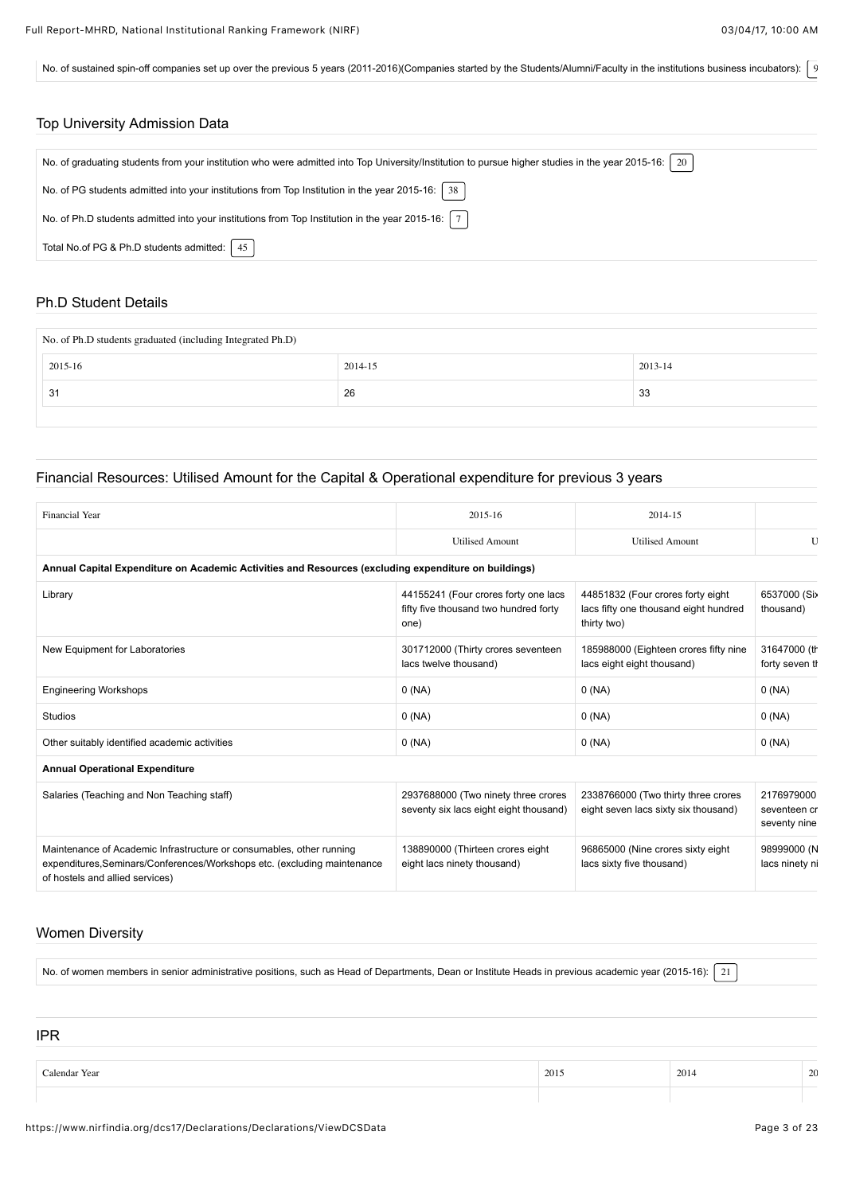No. of sustained spin-off companies set up over the previous 5 years (2011-2016)(Companies started by the Students/Alumni/Faculty in the institutions business incubators):  $\int$  9

| <b>Top University Admission Data</b>                                                                                                                  |
|-------------------------------------------------------------------------------------------------------------------------------------------------------|
|                                                                                                                                                       |
| No. of graduating students from your institution who were admitted into Top University/Institution to pursue higher studies in the year 2015-16:   20 |
| No. of PG students admitted into your institutions from Top Institution in the year 2015-16: $\vert$ 38                                               |
| No. of Ph.D students admitted into your institutions from Top Institution in the year 2015-16: $\mid 7 \mid$                                          |
| Total No.of PG & Ph.D students admitted:   45                                                                                                         |

## Ph.D Student Details

| No. of Ph.D students graduated (including Integrated Ph.D) |         |         |  |  |  |  |  |  |
|------------------------------------------------------------|---------|---------|--|--|--|--|--|--|
| 2015-16                                                    | 2014-15 | 2013-14 |  |  |  |  |  |  |
| -31                                                        | 26      | 33      |  |  |  |  |  |  |
|                                                            |         |         |  |  |  |  |  |  |

# Financial Resources: Utilised Amount for the Capital & Operational expenditure for previous 3 years

| Financial Year                                                                                                                                                                      | $2015 - 16$                                                                           | 2014-15                                                                                   |                                            |
|-------------------------------------------------------------------------------------------------------------------------------------------------------------------------------------|---------------------------------------------------------------------------------------|-------------------------------------------------------------------------------------------|--------------------------------------------|
|                                                                                                                                                                                     | <b>Utilised Amount</b>                                                                | <b>Utilised Amount</b>                                                                    | $\mathbf{I}$                               |
| Annual Capital Expenditure on Academic Activities and Resources (excluding expenditure on buildings)                                                                                |                                                                                       |                                                                                           |                                            |
| Library                                                                                                                                                                             | 44155241 (Four crores forty one lacs<br>fifty five thousand two hundred forty<br>one) | 44851832 (Four crores forty eight<br>lacs fifty one thousand eight hundred<br>thirty two) | 6537000 (Six<br>thousand)                  |
| New Equipment for Laboratories                                                                                                                                                      | 301712000 (Thirty crores seventeen<br>lacs twelve thousand)                           | 185988000 (Eighteen crores fifty nine<br>lacs eight eight thousand)                       | 31647000 (th<br>forty seven th             |
| <b>Engineering Workshops</b>                                                                                                                                                        | 0(NA)                                                                                 | 0(NA)                                                                                     | 0(NA)                                      |
| <b>Studios</b>                                                                                                                                                                      | 0(NA)                                                                                 | 0(NA)                                                                                     | 0(NA)                                      |
| Other suitably identified academic activities                                                                                                                                       | 0(NA)                                                                                 | 0(NA)                                                                                     | 0(NA)                                      |
| <b>Annual Operational Expenditure</b>                                                                                                                                               |                                                                                       |                                                                                           |                                            |
| Salaries (Teaching and Non Teaching staff)                                                                                                                                          | 2937688000 (Two ninety three crores<br>seventy six lacs eight eight thousand)         | 2338766000 (Two thirty three crores<br>eight seven lacs sixty six thousand)               | 2176979000<br>seventeen cr<br>seventy nine |
| Maintenance of Academic Infrastructure or consumables, other running<br>expenditures, Seminars/Conferences/Workshops etc. (excluding maintenance<br>of hostels and allied services) | 138890000 (Thirteen crores eight<br>eight lacs ninety thousand)                       | 96865000 (Nine crores sixty eight<br>lacs sixty five thousand)                            | 98999000 (N<br>lacs ninety ni              |
|                                                                                                                                                                                     |                                                                                       |                                                                                           |                                            |

## Women Diversity

No. of women members in senior administrative positions, such as Head of Departments, Dean or Institute Heads in previous academic year (2015-16): [21]

IPR Calendar Year 2014 20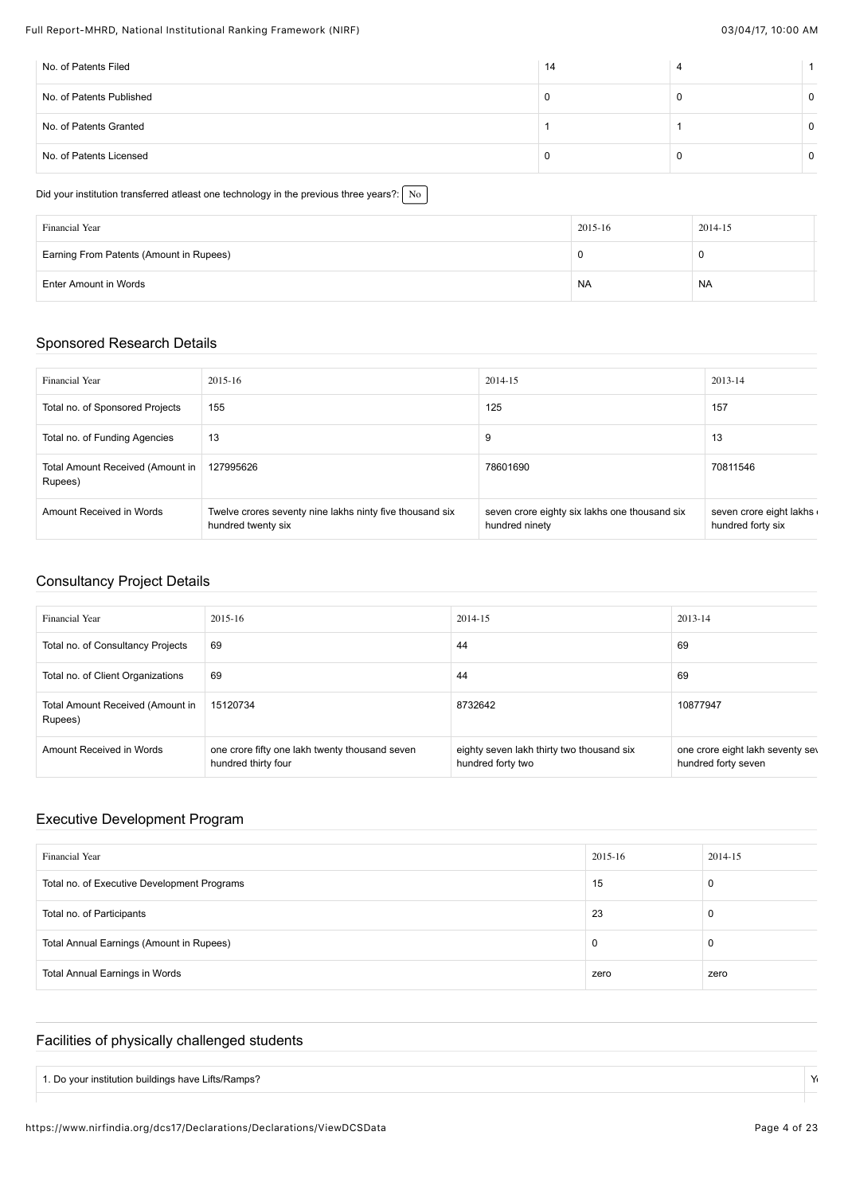| No. of Patents Filed     | 14 |          |
|--------------------------|----|----------|
| No. of Patents Published |    | $\Omega$ |
| No. of Patents Granted   |    | 0        |
| No. of Patents Licensed  |    | 0        |

#### Did your institution transferred atleast one technology in the previous three years?:  $\sqrt{\ }$  No

| Financial Year                          | 2015-16<br>2014-15<br>0<br>0<br><b>NA</b><br><b>NA</b> |  |
|-----------------------------------------|--------------------------------------------------------|--|
| Earning From Patents (Amount in Rupees) |                                                        |  |
| Enter Amount in Words                   |                                                        |  |

## Sponsored Research Details

| Financial Year                              | 2015-16                                                                        | 2014-15                                                         | 2013-14                                      |
|---------------------------------------------|--------------------------------------------------------------------------------|-----------------------------------------------------------------|----------------------------------------------|
| Total no. of Sponsored Projects             | 155                                                                            | 125                                                             | 157                                          |
| Total no. of Funding Agencies               | 13                                                                             | 9                                                               | 13                                           |
| Total Amount Received (Amount in<br>Rupees) | 127995626                                                                      | 78601690                                                        | 70811546                                     |
| Amount Received in Words                    | Twelve crores seventy nine lakhs ninty five thousand six<br>hundred twenty six | seven crore eighty six lakhs one thousand six<br>hundred ninety | seven crore eight lakhs<br>hundred forty six |

## Consultancy Project Details

| <b>Financial Year</b>                       | 2015-16                                                               | 2014-15                                                        | 2013-14                                                 |
|---------------------------------------------|-----------------------------------------------------------------------|----------------------------------------------------------------|---------------------------------------------------------|
| Total no. of Consultancy Projects           | 69                                                                    | 44                                                             | 69                                                      |
| Total no. of Client Organizations           | 69                                                                    | 44                                                             | 69                                                      |
| Total Amount Received (Amount in<br>Rupees) | 15120734                                                              | 8732642                                                        | 10877947                                                |
| Amount Received in Words                    | one crore fifty one lakh twenty thousand seven<br>hundred thirty four | eighty seven lakh thirty two thousand six<br>hundred forty two | one crore eight lakh seventy sev<br>hundred forty seven |

# Executive Development Program

| Financial Year                              | 2015-16 | 2014-15 |
|---------------------------------------------|---------|---------|
| Total no. of Executive Development Programs | 15      | 0       |
| Total no. of Participants                   | 23      | 0       |
| Total Annual Earnings (Amount in Rupees)    | 0       | 0       |
| <b>Total Annual Earnings in Words</b>       | zero    | zero    |

## Facilities of physically challenged students

| Lifts/Ramps?<br>. Do vour institution buildings have L |  |
|--------------------------------------------------------|--|
|                                                        |  |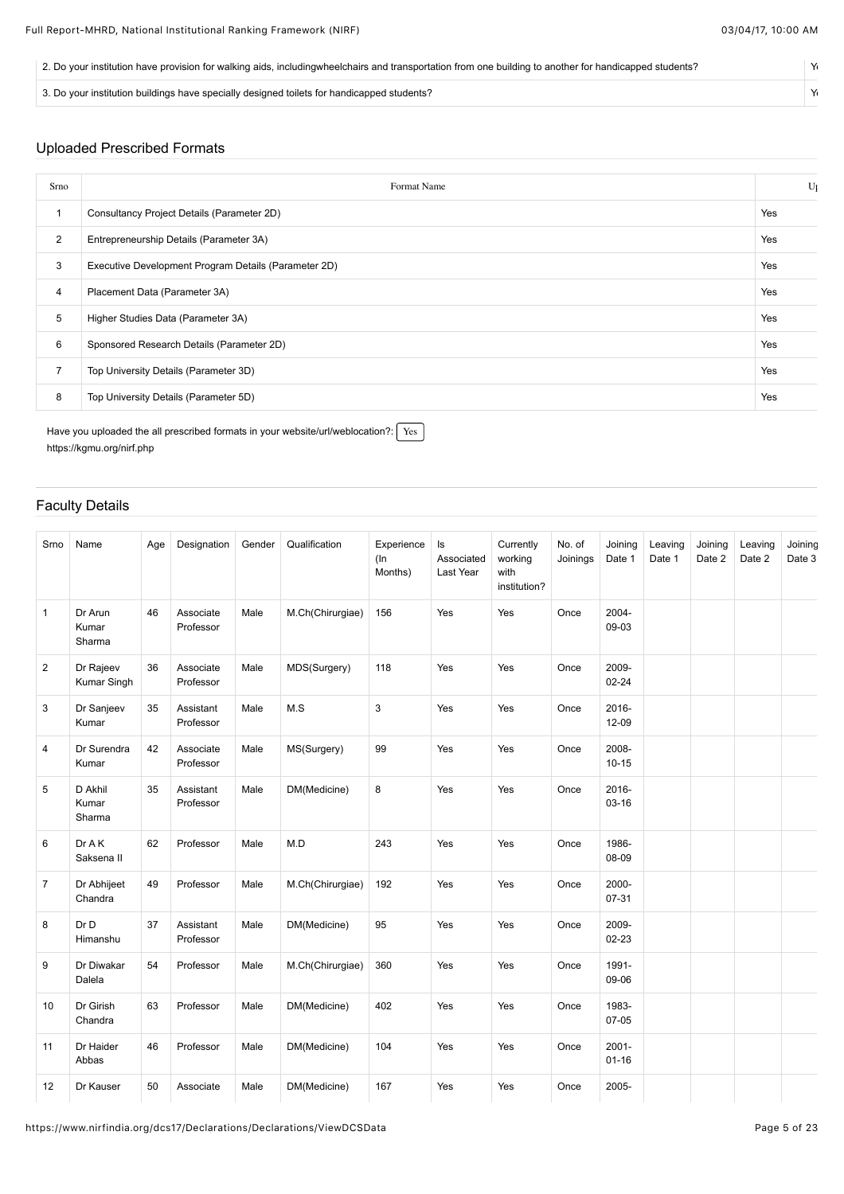| 2. Do your institution have provision for walking aids, includingwheelchairs and transportation from one building to another for handicapped students? |  |
|--------------------------------------------------------------------------------------------------------------------------------------------------------|--|
| 3. Do your institution buildings have specially designed toilets for handicapped students?                                                             |  |

# Uploaded Prescribed Formats

| Srno           | Format Name                                          | U <sub>l</sub> |
|----------------|------------------------------------------------------|----------------|
|                | Consultancy Project Details (Parameter 2D)           | Yes            |
| $\overline{2}$ | Entrepreneurship Details (Parameter 3A)              | Yes            |
| 3              | Executive Development Program Details (Parameter 2D) | Yes            |
| 4              | Placement Data (Parameter 3A)                        | Yes            |
| 5              | Higher Studies Data (Parameter 3A)                   | Yes            |
| 6              | Sponsored Research Details (Parameter 2D)            | Yes            |
| $\overline{7}$ | Top University Details (Parameter 3D)                | Yes            |
| 8              | Top University Details (Parameter 5D)                | Yes            |

Have you uploaded the all prescribed formats in your website/url/weblocation?:  $\sqrt{\text{Yes}}$ <https://kgmu.org/nirf.php>

# Faculty Details

| Srno           | Name                       | Age | Designation            | Gender | Qualification    | Experience<br>$($ In<br>Months) | Is<br>Associated<br>Last Year | Currently<br>working<br>with<br>institution? | No. of<br>Joinings | Joining<br>Date 1     | Leaving<br>Date 1 | Joining<br>Date 2 | Leaving<br>Date 2 | Joining<br>Date 3 |
|----------------|----------------------------|-----|------------------------|--------|------------------|---------------------------------|-------------------------------|----------------------------------------------|--------------------|-----------------------|-------------------|-------------------|-------------------|-------------------|
| $\mathbf{1}$   | Dr Arun<br>Kumar<br>Sharma | 46  | Associate<br>Professor | Male   | M.Ch(Chirurgiae) | 156                             | Yes                           | Yes                                          | Once               | 2004-<br>09-03        |                   |                   |                   |                   |
| $\overline{2}$ | Dr Rajeev<br>Kumar Singh   | 36  | Associate<br>Professor | Male   | MDS(Surgery)     | 118                             | Yes                           | Yes                                          | Once               | 2009-<br>$02 - 24$    |                   |                   |                   |                   |
| 3              | Dr Sanjeev<br>Kumar        | 35  | Assistant<br>Professor | Male   | M.S              | 3                               | Yes                           | Yes                                          | Once               | 2016-<br>$12 - 09$    |                   |                   |                   |                   |
| $\overline{4}$ | Dr Surendra<br>Kumar       | 42  | Associate<br>Professor | Male   | MS(Surgery)      | 99                              | Yes                           | Yes                                          | Once               | 2008-<br>$10 - 15$    |                   |                   |                   |                   |
| 5              | D Akhil<br>Kumar<br>Sharma | 35  | Assistant<br>Professor | Male   | DM(Medicine)     | 8                               | Yes                           | Yes                                          | Once               | 2016-<br>$03 - 16$    |                   |                   |                   |                   |
| 6              | DrAK<br>Saksena II         | 62  | Professor              | Male   | M.D              | 243                             | Yes                           | Yes                                          | Once               | 1986-<br>08-09        |                   |                   |                   |                   |
| $\overline{7}$ | Dr Abhijeet<br>Chandra     | 49  | Professor              | Male   | M.Ch(Chirurgiae) | 192                             | Yes                           | Yes                                          | Once               | 2000-<br>07-31        |                   |                   |                   |                   |
| 8              | Dr D<br>Himanshu           | 37  | Assistant<br>Professor | Male   | DM(Medicine)     | 95                              | Yes                           | Yes                                          | Once               | 2009-<br>$02 - 23$    |                   |                   |                   |                   |
| 9              | Dr Diwakar<br>Dalela       | 54  | Professor              | Male   | M.Ch(Chirurgiae) | 360                             | Yes                           | Yes                                          | Once               | 1991-<br>09-06        |                   |                   |                   |                   |
| 10             | Dr Girish<br>Chandra       | 63  | Professor              | Male   | DM(Medicine)     | 402                             | Yes                           | Yes                                          | Once               | 1983-<br>$07-05$      |                   |                   |                   |                   |
| 11             | Dr Haider<br>Abbas         | 46  | Professor              | Male   | DM(Medicine)     | 104                             | Yes                           | Yes                                          | Once               | $2001 -$<br>$01 - 16$ |                   |                   |                   |                   |
| 12             | Dr Kauser                  | 50  | Associate              | Male   | DM(Medicine)     | 167                             | Yes                           | Yes                                          | Once               | 2005-                 |                   |                   |                   |                   |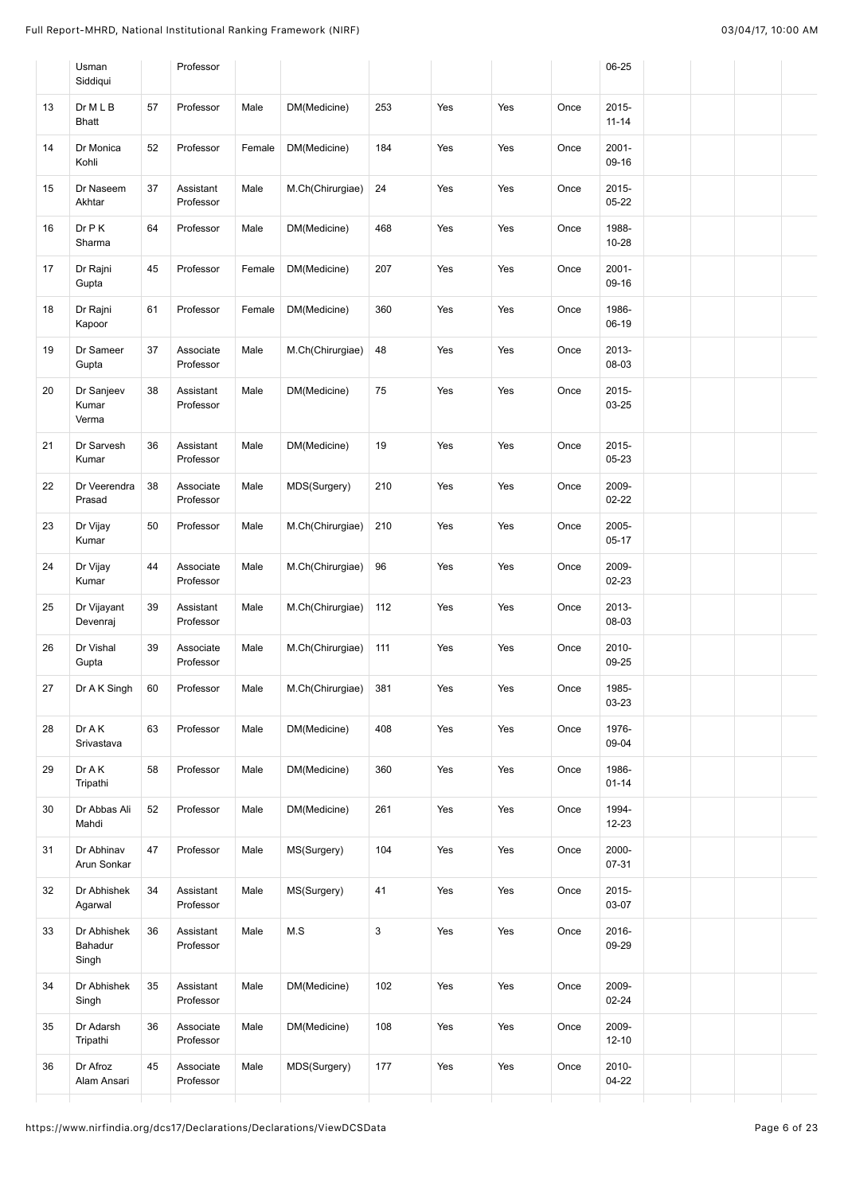|    | Usman<br>Siddiqui               |    | Professor              |        |                  |              |     |     |      | 06-25              |  |  |
|----|---------------------------------|----|------------------------|--------|------------------|--------------|-----|-----|------|--------------------|--|--|
| 13 | Dr M L B<br><b>Bhatt</b>        | 57 | Professor              | Male   | DM(Medicine)     | 253          | Yes | Yes | Once | 2015-<br>$11 - 14$ |  |  |
| 14 | Dr Monica<br>Kohli              | 52 | Professor              | Female | DM(Medicine)     | 184          | Yes | Yes | Once | 2001-<br>09-16     |  |  |
| 15 | Dr Naseem<br>Akhtar             | 37 | Assistant<br>Professor | Male   | M.Ch(Chirurgiae) | 24           | Yes | Yes | Once | 2015-<br>$05 - 22$ |  |  |
| 16 | Dr P K<br>Sharma                | 64 | Professor              | Male   | DM(Medicine)     | 468          | Yes | Yes | Once | 1988-<br>10-28     |  |  |
| 17 | Dr Rajni<br>Gupta               | 45 | Professor              | Female | DM(Medicine)     | 207          | Yes | Yes | Once | 2001-<br>09-16     |  |  |
| 18 | Dr Rajni<br>Kapoor              | 61 | Professor              | Female | DM(Medicine)     | 360          | Yes | Yes | Once | 1986-<br>06-19     |  |  |
| 19 | Dr Sameer<br>Gupta              | 37 | Associate<br>Professor | Male   | M.Ch(Chirurgiae) | 48           | Yes | Yes | Once | 2013-<br>08-03     |  |  |
| 20 | Dr Sanjeev<br>Kumar<br>Verma    | 38 | Assistant<br>Professor | Male   | DM(Medicine)     | 75           | Yes | Yes | Once | 2015-<br>03-25     |  |  |
| 21 | Dr Sarvesh<br>Kumar             | 36 | Assistant<br>Professor | Male   | DM(Medicine)     | 19           | Yes | Yes | Once | 2015-<br>05-23     |  |  |
| 22 | Dr Veerendra<br>Prasad          | 38 | Associate<br>Professor | Male   | MDS(Surgery)     | 210          | Yes | Yes | Once | 2009-<br>$02 - 22$ |  |  |
| 23 | Dr Vijay<br>Kumar               | 50 | Professor              | Male   | M.Ch(Chirurgiae) | 210          | Yes | Yes | Once | 2005-<br>$05 - 17$ |  |  |
| 24 | Dr Vijay<br>Kumar               | 44 | Associate<br>Professor | Male   | M.Ch(Chirurgiae) | 96           | Yes | Yes | Once | 2009-<br>02-23     |  |  |
| 25 | Dr Vijayant<br>Devenraj         | 39 | Assistant<br>Professor | Male   | M.Ch(Chirurgiae) | 112          | Yes | Yes | Once | 2013-<br>08-03     |  |  |
| 26 | Dr Vishal<br>Gupta              | 39 | Associate<br>Professor | Male   | M.Ch(Chirurgiae) | 111          | Yes | Yes | Once | 2010-<br>09-25     |  |  |
| 27 | Dr A K Singh                    | 60 | Professor              | Male   | M.Ch(Chirurgiae) | 381          | Yes | Yes | Once | 1985-<br>03-23     |  |  |
| 28 | Dr A K<br>Srivastava            | 63 | Professor              | Male   | DM(Medicine)     | 408          | Yes | Yes | Once | 1976-<br>09-04     |  |  |
| 29 | Dr A K<br>Tripathi              | 58 | Professor              | Male   | DM(Medicine)     | 360          | Yes | Yes | Once | 1986-<br>$01 - 14$ |  |  |
| 30 | Dr Abbas Ali<br>Mahdi           | 52 | Professor              | Male   | DM(Medicine)     | 261          | Yes | Yes | Once | 1994-<br>$12 - 23$ |  |  |
| 31 | Dr Abhinav<br>Arun Sonkar       | 47 | Professor              | Male   | MS(Surgery)      | 104          | Yes | Yes | Once | 2000-<br>07-31     |  |  |
| 32 | Dr Abhishek<br>Agarwal          | 34 | Assistant<br>Professor | Male   | MS(Surgery)      | 41           | Yes | Yes | Once | 2015-<br>03-07     |  |  |
| 33 | Dr Abhishek<br>Bahadur<br>Singh | 36 | Assistant<br>Professor | Male   | M.S              | $\mathbf{3}$ | Yes | Yes | Once | 2016-<br>09-29     |  |  |
| 34 | Dr Abhishek<br>Singh            | 35 | Assistant<br>Professor | Male   | DM(Medicine)     | 102          | Yes | Yes | Once | 2009-<br>$02 - 24$ |  |  |
| 35 | Dr Adarsh<br>Tripathi           | 36 | Associate<br>Professor | Male   | DM(Medicine)     | 108          | Yes | Yes | Once | 2009-<br>$12 - 10$ |  |  |
| 36 | Dr Afroz<br>Alam Ansari         | 45 | Associate<br>Professor | Male   | MDS(Surgery)     | 177          | Yes | Yes | Once | 2010-<br>$04 - 22$ |  |  |
|    |                                 |    |                        |        |                  |              |     |     |      |                    |  |  |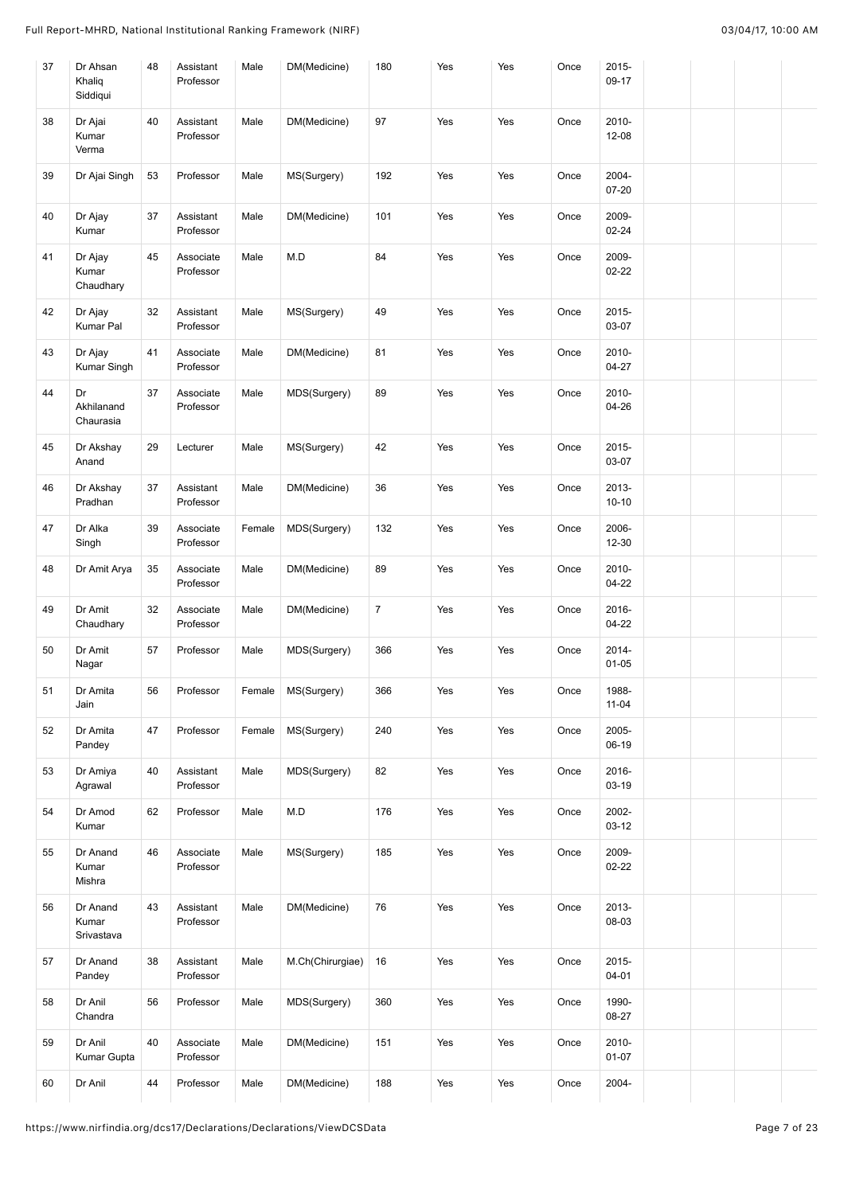| 37 | Dr Ahsan<br>Khaliq<br>Siddiqui  | 48 | Assistant<br>Professor | Male   | DM(Medicine)     | 180            | Yes | Yes | Once | 2015-<br>09-17     |  |  |
|----|---------------------------------|----|------------------------|--------|------------------|----------------|-----|-----|------|--------------------|--|--|
| 38 | Dr Ajai<br>Kumar<br>Verma       | 40 | Assistant<br>Professor | Male   | DM(Medicine)     | 97             | Yes | Yes | Once | 2010-<br>12-08     |  |  |
| 39 | Dr Ajai Singh                   | 53 | Professor              | Male   | MS(Surgery)      | 192            | Yes | Yes | Once | 2004-<br>07-20     |  |  |
| 40 | Dr Ajay<br>Kumar                | 37 | Assistant<br>Professor | Male   | DM(Medicine)     | 101            | Yes | Yes | Once | 2009-<br>02-24     |  |  |
| 41 | Dr Ajay<br>Kumar<br>Chaudhary   | 45 | Associate<br>Professor | Male   | M.D              | 84             | Yes | Yes | Once | 2009-<br>$02 - 22$ |  |  |
| 42 | Dr Ajay<br>Kumar Pal            | 32 | Assistant<br>Professor | Male   | MS(Surgery)      | 49             | Yes | Yes | Once | 2015-<br>03-07     |  |  |
| 43 | Dr Ajay<br>Kumar Singh          | 41 | Associate<br>Professor | Male   | DM(Medicine)     | 81             | Yes | Yes | Once | 2010-<br>$04 - 27$ |  |  |
| 44 | Dr<br>Akhilanand<br>Chaurasia   | 37 | Associate<br>Professor | Male   | MDS(Surgery)     | 89             | Yes | Yes | Once | 2010-<br>04-26     |  |  |
| 45 | Dr Akshay<br>Anand              | 29 | Lecturer               | Male   | MS(Surgery)      | 42             | Yes | Yes | Once | 2015-<br>03-07     |  |  |
| 46 | Dr Akshay<br>Pradhan            | 37 | Assistant<br>Professor | Male   | DM(Medicine)     | 36             | Yes | Yes | Once | 2013-<br>$10 - 10$ |  |  |
| 47 | Dr Alka<br>Singh                | 39 | Associate<br>Professor | Female | MDS(Surgery)     | 132            | Yes | Yes | Once | 2006-<br>$12 - 30$ |  |  |
| 48 | Dr Amit Arya                    | 35 | Associate<br>Professor | Male   | DM(Medicine)     | 89             | Yes | Yes | Once | 2010-<br>$04 - 22$ |  |  |
| 49 | Dr Amit<br>Chaudhary            | 32 | Associate<br>Professor | Male   | DM(Medicine)     | $\overline{7}$ | Yes | Yes | Once | 2016-<br>$04 - 22$ |  |  |
| 50 | Dr Amit<br>Nagar                | 57 | Professor              | Male   | MDS(Surgery)     | 366            | Yes | Yes | Once | 2014-<br>$01 - 05$ |  |  |
| 51 | Dr Amita<br>Jain                | 56 | Professor              | Female | MS(Surgery)      | 366            | Yes | Yes | Once | 1988-<br>$11 - 04$ |  |  |
| 52 | Dr Amita<br>Pandey              | 47 | Professor              | Female | MS(Surgery)      | 240            | Yes | Yes | Once | 2005-<br>06-19     |  |  |
| 53 | Dr Amiya<br>Agrawal             | 40 | Assistant<br>Professor | Male   | MDS(Surgery)     | 82             | Yes | Yes | Once | 2016-<br>03-19     |  |  |
| 54 | Dr Amod<br>Kumar                | 62 | Professor              | Male   | M.D              | 176            | Yes | Yes | Once | 2002-<br>$03-12$   |  |  |
| 55 | Dr Anand<br>Kumar<br>Mishra     | 46 | Associate<br>Professor | Male   | MS(Surgery)      | 185            | Yes | Yes | Once | 2009-<br>$02 - 22$ |  |  |
| 56 | Dr Anand<br>Kumar<br>Srivastava | 43 | Assistant<br>Professor | Male   | DM(Medicine)     | 76             | Yes | Yes | Once | 2013-<br>08-03     |  |  |
| 57 | Dr Anand<br>Pandey              | 38 | Assistant<br>Professor | Male   | M.Ch(Chirurgiae) | 16             | Yes | Yes | Once | 2015-<br>$04 - 01$ |  |  |
| 58 | Dr Anil<br>Chandra              | 56 | Professor              | Male   | MDS(Surgery)     | 360            | Yes | Yes | Once | 1990-<br>08-27     |  |  |
| 59 | Dr Anil<br>Kumar Gupta          | 40 | Associate<br>Professor | Male   | DM(Medicine)     | 151            | Yes | Yes | Once | 2010-<br>$01 - 07$ |  |  |
| 60 | Dr Anil                         | 44 | Professor              | Male   | DM(Medicine)     | 188            | Yes | Yes | Once | 2004-              |  |  |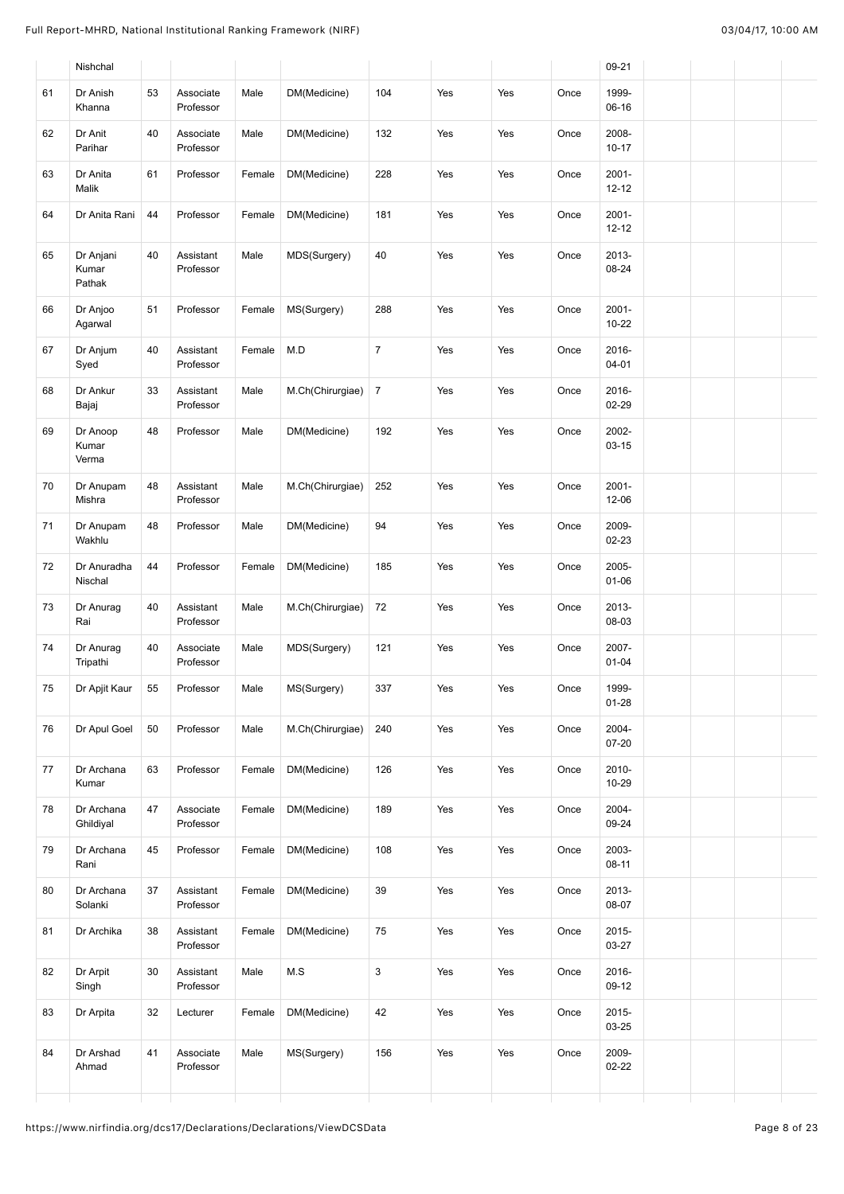|    | Nishchal                     |    |                        |        |                  |                |     |     |      | 09-21                 |  |  |
|----|------------------------------|----|------------------------|--------|------------------|----------------|-----|-----|------|-----------------------|--|--|
| 61 | Dr Anish<br>Khanna           | 53 | Associate<br>Professor | Male   | DM(Medicine)     | 104            | Yes | Yes | Once | 1999-<br>$06-16$      |  |  |
| 62 | Dr Anit<br>Parihar           | 40 | Associate<br>Professor | Male   | DM(Medicine)     | 132            | Yes | Yes | Once | 2008-<br>$10 - 17$    |  |  |
| 63 | Dr Anita<br>Malik            | 61 | Professor              | Female | DM(Medicine)     | 228            | Yes | Yes | Once | 2001-<br>$12 - 12$    |  |  |
| 64 | Dr Anita Rani                | 44 | Professor              | Female | DM(Medicine)     | 181            | Yes | Yes | Once | $2001 -$<br>$12 - 12$ |  |  |
| 65 | Dr Anjani<br>Kumar<br>Pathak | 40 | Assistant<br>Professor | Male   | MDS(Surgery)     | 40             | Yes | Yes | Once | 2013-<br>08-24        |  |  |
| 66 | Dr Anjoo<br>Agarwal          | 51 | Professor              | Female | MS(Surgery)      | 288            | Yes | Yes | Once | 2001-<br>$10 - 22$    |  |  |
| 67 | Dr Anjum<br>Syed             | 40 | Assistant<br>Professor | Female | M.D              | $\overline{7}$ | Yes | Yes | Once | 2016-<br>$04 - 01$    |  |  |
| 68 | Dr Ankur<br>Bajaj            | 33 | Assistant<br>Professor | Male   | M.Ch(Chirurgiae) | $\overline{7}$ | Yes | Yes | Once | 2016-<br>02-29        |  |  |
| 69 | Dr Anoop<br>Kumar<br>Verma   | 48 | Professor              | Male   | DM(Medicine)     | 192            | Yes | Yes | Once | 2002-<br>$03 - 15$    |  |  |
| 70 | Dr Anupam<br>Mishra          | 48 | Assistant<br>Professor | Male   | M.Ch(Chirurgiae) | 252            | Yes | Yes | Once | $2001 -$<br>12-06     |  |  |
| 71 | Dr Anupam<br>Wakhlu          | 48 | Professor              | Male   | DM(Medicine)     | 94             | Yes | Yes | Once | 2009-<br>02-23        |  |  |
| 72 | Dr Anuradha<br>Nischal       | 44 | Professor              | Female | DM(Medicine)     | 185            | Yes | Yes | Once | 2005-<br>$01 - 06$    |  |  |
| 73 | Dr Anurag<br>Rai             | 40 | Assistant<br>Professor | Male   | M.Ch(Chirurgiae) | 72             | Yes | Yes | Once | 2013-<br>08-03        |  |  |
| 74 | Dr Anurag<br>Tripathi        | 40 | Associate<br>Professor | Male   | MDS(Surgery)     | 121            | Yes | Yes | Once | 2007-<br>$01 - 04$    |  |  |
| 75 | Dr Apjit Kaur                | 55 | Professor              | Male   | MS(Surgery)      | 337            | Yes | Yes | Once | 1999-<br>$01 - 28$    |  |  |
| 76 | Dr Apul Goel                 | 50 | Professor              | Male   | M.Ch(Chirurgiae) | 240            | Yes | Yes | Once | 2004-<br>07-20        |  |  |
| 77 | Dr Archana<br>Kumar          | 63 | Professor              | Female | DM(Medicine)     | 126            | Yes | Yes | Once | 2010-<br>10-29        |  |  |
| 78 | Dr Archana<br>Ghildiyal      | 47 | Associate<br>Professor | Female | DM(Medicine)     | 189            | Yes | Yes | Once | 2004-<br>09-24        |  |  |
| 79 | Dr Archana<br>Rani           | 45 | Professor              | Female | DM(Medicine)     | 108            | Yes | Yes | Once | 2003-<br>$08 - 11$    |  |  |
| 80 | Dr Archana<br>Solanki        | 37 | Assistant<br>Professor | Female | DM(Medicine)     | 39             | Yes | Yes | Once | 2013-<br>08-07        |  |  |
| 81 | Dr Archika                   | 38 | Assistant<br>Professor | Female | DM(Medicine)     | 75             | Yes | Yes | Once | 2015-<br>03-27        |  |  |
| 82 | Dr Arpit<br>Singh            | 30 | Assistant<br>Professor | Male   | M.S              | 3              | Yes | Yes | Once | 2016-<br>09-12        |  |  |
| 83 | Dr Arpita                    | 32 | Lecturer               | Female | DM(Medicine)     | 42             | Yes | Yes | Once | 2015-<br>03-25        |  |  |
| 84 | Dr Arshad<br>Ahmad           | 41 | Associate<br>Professor | Male   | MS(Surgery)      | 156            | Yes | Yes | Once | 2009-<br>$02 - 22$    |  |  |
|    |                              |    |                        |        |                  |                |     |     |      |                       |  |  |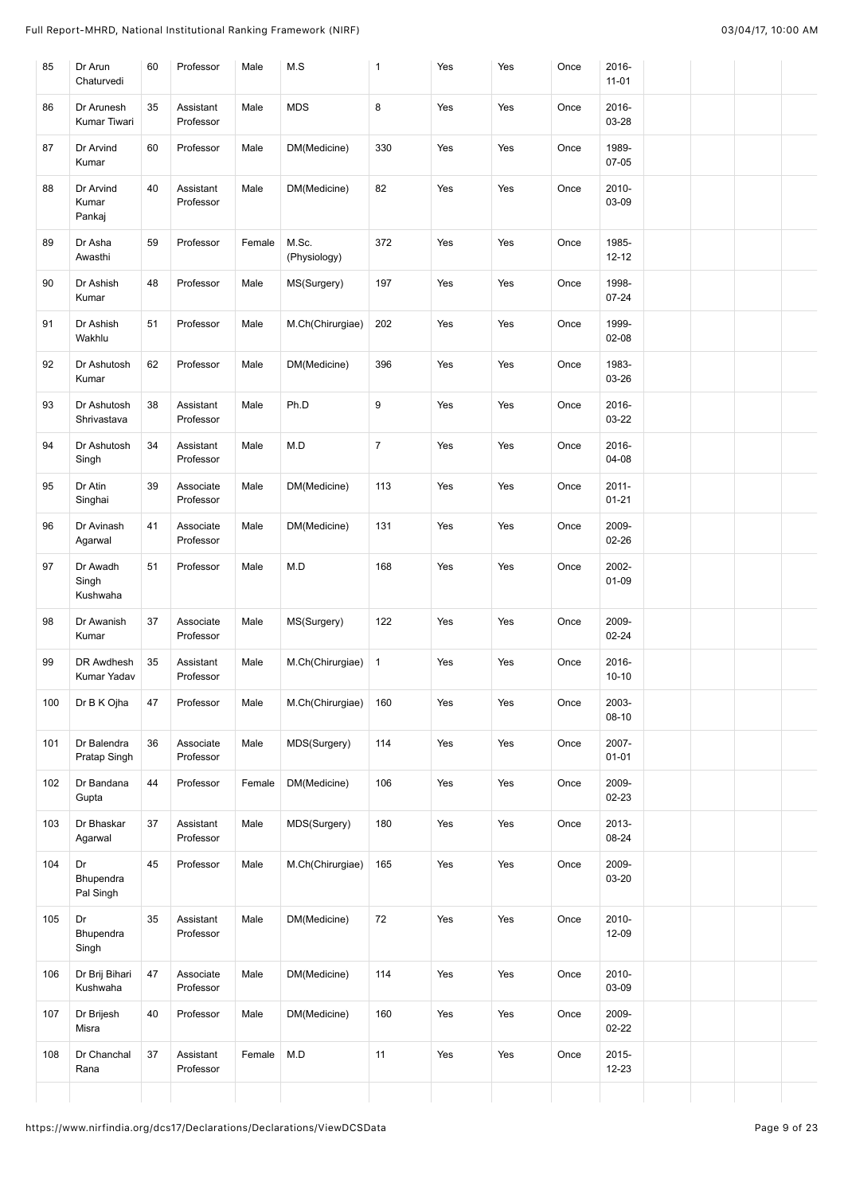| 85  | Dr Arun<br>Chaturvedi         | 60 | Professor              | Male   | M.S                   | $\mathbf{1}$   | Yes | Yes | Once | 2016-<br>$11 - 01$    |  |  |
|-----|-------------------------------|----|------------------------|--------|-----------------------|----------------|-----|-----|------|-----------------------|--|--|
| 86  | Dr Arunesh<br>Kumar Tiwari    | 35 | Assistant<br>Professor | Male   | <b>MDS</b>            | 8              | Yes | Yes | Once | 2016-<br>03-28        |  |  |
| 87  | Dr Arvind<br>Kumar            | 60 | Professor              | Male   | DM(Medicine)          | 330            | Yes | Yes | Once | 1989-<br>07-05        |  |  |
| 88  | Dr Arvind<br>Kumar<br>Pankaj  | 40 | Assistant<br>Professor | Male   | DM(Medicine)          | 82             | Yes | Yes | Once | 2010-<br>03-09        |  |  |
| 89  | Dr Asha<br>Awasthi            | 59 | Professor              | Female | M.Sc.<br>(Physiology) | 372            | Yes | Yes | Once | 1985-<br>$12 - 12$    |  |  |
| 90  | Dr Ashish<br>Kumar            | 48 | Professor              | Male   | MS(Surgery)           | 197            | Yes | Yes | Once | 1998-<br>$07 - 24$    |  |  |
| 91  | Dr Ashish<br>Wakhlu           | 51 | Professor              | Male   | M.Ch(Chirurgiae)      | 202            | Yes | Yes | Once | 1999-<br>$02 - 08$    |  |  |
| 92  | Dr Ashutosh<br>Kumar          | 62 | Professor              | Male   | DM(Medicine)          | 396            | Yes | Yes | Once | 1983-<br>03-26        |  |  |
| 93  | Dr Ashutosh<br>Shrivastava    | 38 | Assistant<br>Professor | Male   | Ph.D                  | 9              | Yes | Yes | Once | 2016-<br>03-22        |  |  |
| 94  | Dr Ashutosh<br>Singh          | 34 | Assistant<br>Professor | Male   | M.D                   | $\overline{7}$ | Yes | Yes | Once | 2016-<br>04-08        |  |  |
| 95  | Dr Atin<br>Singhai            | 39 | Associate<br>Professor | Male   | DM(Medicine)          | 113            | Yes | Yes | Once | $2011 -$<br>$01 - 21$ |  |  |
| 96  | Dr Avinash<br>Agarwal         | 41 | Associate<br>Professor | Male   | DM(Medicine)          | 131            | Yes | Yes | Once | 2009-<br>$02 - 26$    |  |  |
| 97  | Dr Awadh<br>Singh<br>Kushwaha | 51 | Professor              | Male   | M.D                   | 168            | Yes | Yes | Once | 2002-<br>$01 - 09$    |  |  |
| 98  | Dr Awanish<br>Kumar           | 37 | Associate<br>Professor | Male   | MS(Surgery)           | 122            | Yes | Yes | Once | 2009-<br>$02 - 24$    |  |  |
| 99  | DR Awdhesh<br>Kumar Yadav     | 35 | Assistant<br>Professor | Male   | M.Ch(Chirurgiae)      | $\mathbf{1}$   | Yes | Yes | Once | 2016-<br>$10 - 10$    |  |  |
| 100 | Dr B K Ojha                   | 47 | Professor              | Male   | M.Ch(Chirurgiae)      | 160            | Yes | Yes | Once | 2003-<br>$08 - 10$    |  |  |
| 101 | Dr Balendra<br>Pratap Singh   | 36 | Associate<br>Professor | Male   | MDS(Surgery)          | 114            | Yes | Yes | Once | 2007-<br>$01 - 01$    |  |  |
| 102 | Dr Bandana<br>Gupta           | 44 | Professor              | Female | DM(Medicine)          | 106            | Yes | Yes | Once | 2009-<br>02-23        |  |  |
| 103 | Dr Bhaskar<br>Agarwal         | 37 | Assistant<br>Professor | Male   | MDS(Surgery)          | 180            | Yes | Yes | Once | 2013-<br>08-24        |  |  |
| 104 | Dr<br>Bhupendra<br>Pal Singh  | 45 | Professor              | Male   | M.Ch(Chirurgiae)      | 165            | Yes | Yes | Once | 2009-<br>03-20        |  |  |
| 105 | Dr<br>Bhupendra<br>Singh      | 35 | Assistant<br>Professor | Male   | DM(Medicine)          | 72             | Yes | Yes | Once | 2010-<br>12-09        |  |  |
| 106 | Dr Brij Bihari<br>Kushwaha    | 47 | Associate<br>Professor | Male   | DM(Medicine)          | 114            | Yes | Yes | Once | 2010-<br>03-09        |  |  |
| 107 | Dr Brijesh<br>Misra           | 40 | Professor              | Male   | DM(Medicine)          | 160            | Yes | Yes | Once | 2009-<br>$02 - 22$    |  |  |
| 108 | Dr Chanchal<br>Rana           | 37 | Assistant<br>Professor | Female | M.D                   | 11             | Yes | Yes | Once | $2015 -$<br>$12 - 23$ |  |  |
|     |                               |    |                        |        |                       |                |     |     |      |                       |  |  |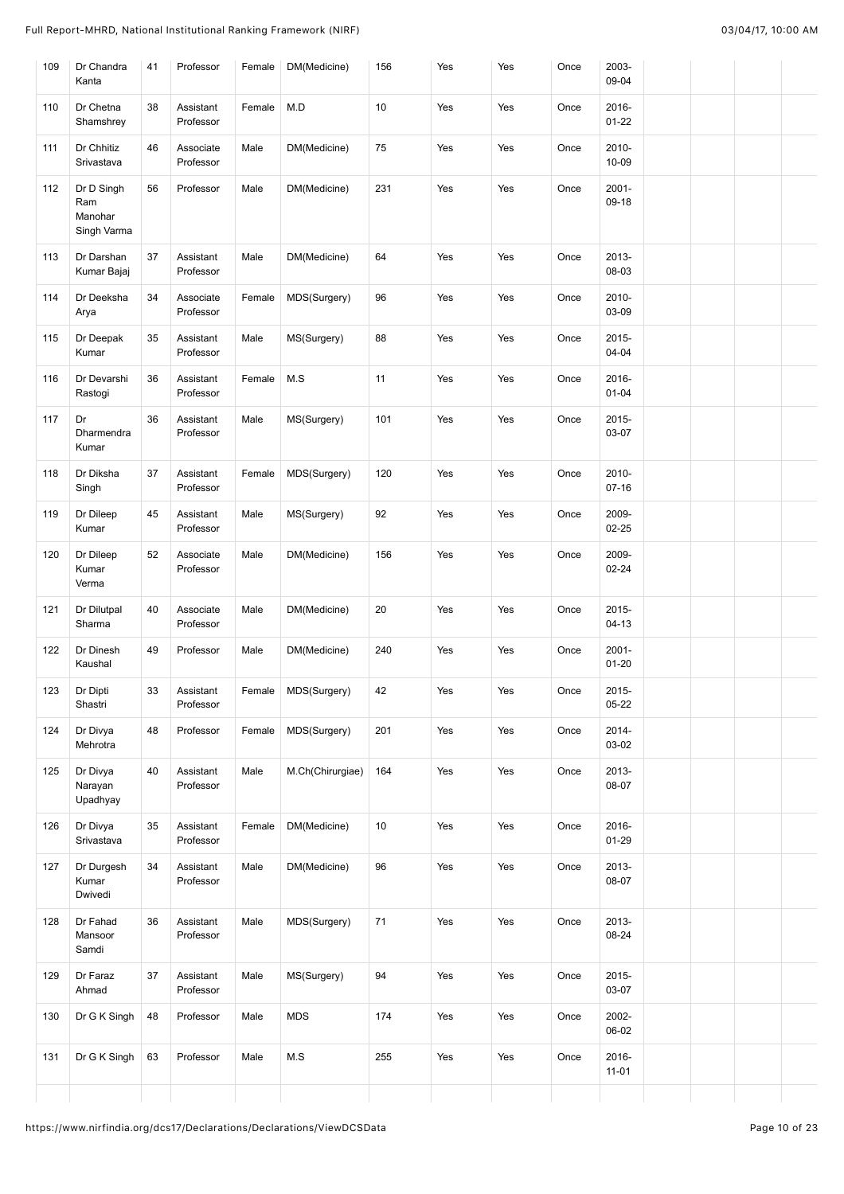| 109 | Dr Chandra<br>Kanta                         | 41 | Professor              | Female | DM(Medicine)     | 156 | Yes | Yes | Once | 2003-<br>09-04        |  |  |
|-----|---------------------------------------------|----|------------------------|--------|------------------|-----|-----|-----|------|-----------------------|--|--|
| 110 | Dr Chetna<br>Shamshrey                      | 38 | Assistant<br>Professor | Female | M.D              | 10  | Yes | Yes | Once | 2016-<br>$01 - 22$    |  |  |
| 111 | Dr Chhitiz<br>Srivastava                    | 46 | Associate<br>Professor | Male   | DM(Medicine)     | 75  | Yes | Yes | Once | 2010-<br>10-09        |  |  |
| 112 | Dr D Singh<br>Ram<br>Manohar<br>Singh Varma | 56 | Professor              | Male   | DM(Medicine)     | 231 | Yes | Yes | Once | $2001 -$<br>09-18     |  |  |
| 113 | Dr Darshan<br>Kumar Bajaj                   | 37 | Assistant<br>Professor | Male   | DM(Medicine)     | 64  | Yes | Yes | Once | 2013-<br>08-03        |  |  |
| 114 | Dr Deeksha<br>Arya                          | 34 | Associate<br>Professor | Female | MDS(Surgery)     | 96  | Yes | Yes | Once | 2010-<br>03-09        |  |  |
| 115 | Dr Deepak<br>Kumar                          | 35 | Assistant<br>Professor | Male   | MS(Surgery)      | 88  | Yes | Yes | Once | 2015-<br>$04 - 04$    |  |  |
| 116 | Dr Devarshi<br>Rastogi                      | 36 | Assistant<br>Professor | Female | M.S              | 11  | Yes | Yes | Once | 2016-<br>$01 - 04$    |  |  |
| 117 | Dr<br>Dharmendra<br>Kumar                   | 36 | Assistant<br>Professor | Male   | MS(Surgery)      | 101 | Yes | Yes | Once | $2015 -$<br>03-07     |  |  |
| 118 | Dr Diksha<br>Singh                          | 37 | Assistant<br>Professor | Female | MDS(Surgery)     | 120 | Yes | Yes | Once | 2010-<br>$07 - 16$    |  |  |
| 119 | Dr Dileep<br>Kumar                          | 45 | Assistant<br>Professor | Male   | MS(Surgery)      | 92  | Yes | Yes | Once | 2009-<br>$02 - 25$    |  |  |
| 120 | Dr Dileep<br>Kumar<br>Verma                 | 52 | Associate<br>Professor | Male   | DM(Medicine)     | 156 | Yes | Yes | Once | 2009-<br>02-24        |  |  |
| 121 | Dr Dilutpal<br>Sharma                       | 40 | Associate<br>Professor | Male   | DM(Medicine)     | 20  | Yes | Yes | Once | 2015-<br>$04-13$      |  |  |
| 122 | Dr Dinesh<br>Kaushal                        | 49 | Professor              | Male   | DM(Medicine)     | 240 | Yes | Yes | Once | $2001 -$<br>$01 - 20$ |  |  |
| 123 | Dr Dipti<br>Shastri                         | 33 | Assistant<br>Professor | Female | MDS(Surgery)     | 42  | Yes | Yes | Once | 2015-<br>$05 - 22$    |  |  |
| 124 | Dr Divya<br>Mehrotra                        | 48 | Professor              | Female | MDS(Surgery)     | 201 | Yes | Yes | Once | $2014 -$<br>03-02     |  |  |
| 125 | Dr Divya<br>Narayan<br>Upadhyay             | 40 | Assistant<br>Professor | Male   | M.Ch(Chirurgiae) | 164 | Yes | Yes | Once | 2013-<br>08-07        |  |  |
| 126 | Dr Divya<br>Srivastava                      | 35 | Assistant<br>Professor | Female | DM(Medicine)     | 10  | Yes | Yes | Once | 2016-<br>$01 - 29$    |  |  |
| 127 | Dr Durgesh<br>Kumar<br>Dwivedi              | 34 | Assistant<br>Professor | Male   | DM(Medicine)     | 96  | Yes | Yes | Once | 2013-<br>08-07        |  |  |
| 128 | Dr Fahad<br>Mansoor<br>Samdi                | 36 | Assistant<br>Professor | Male   | MDS(Surgery)     | 71  | Yes | Yes | Once | 2013-<br>08-24        |  |  |
| 129 | Dr Faraz<br>Ahmad                           | 37 | Assistant<br>Professor | Male   | MS(Surgery)      | 94  | Yes | Yes | Once | $2015 -$<br>03-07     |  |  |
| 130 | Dr G K Singh                                | 48 | Professor              | Male   | <b>MDS</b>       | 174 | Yes | Yes | Once | 2002-<br>06-02        |  |  |
| 131 | Dr G K Singh                                | 63 | Professor              | Male   | M.S              | 255 | Yes | Yes | Once | 2016-<br>$11 - 01$    |  |  |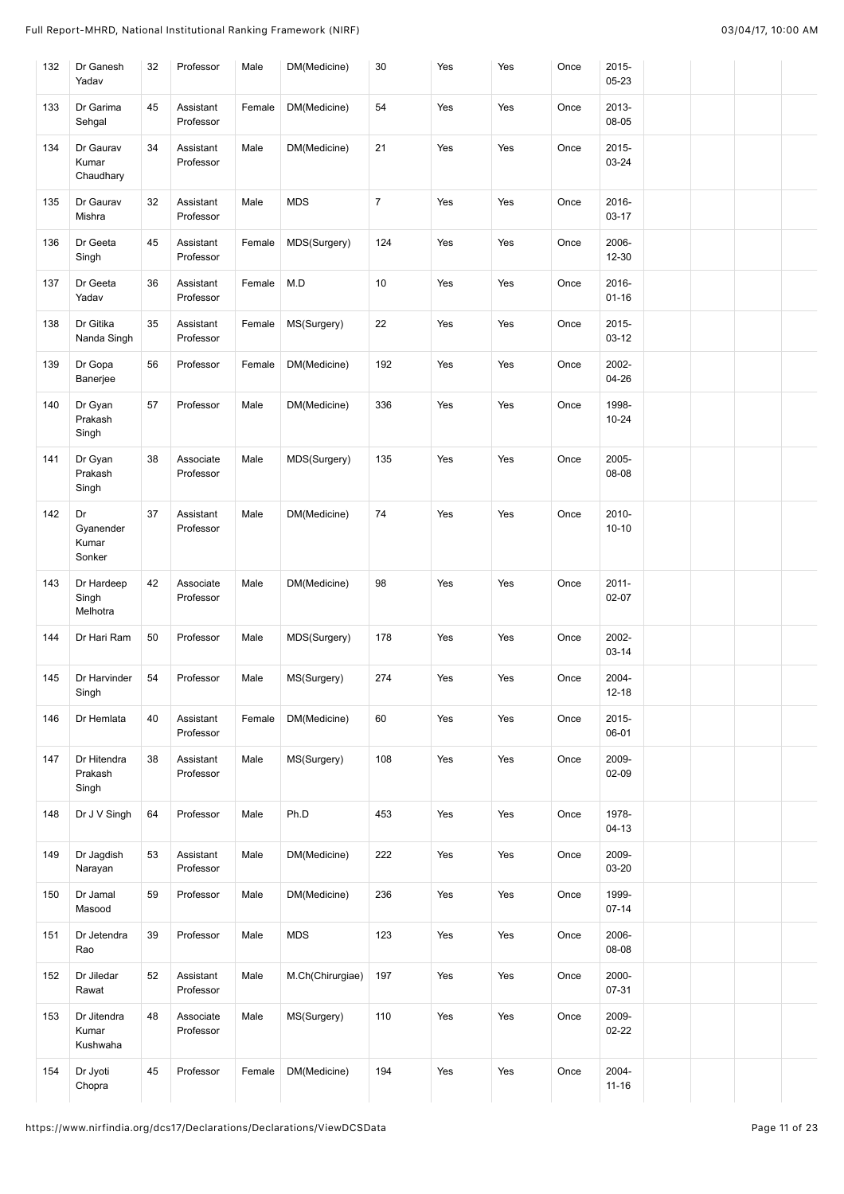| 132 | Dr Ganesh<br>Yadav                 | 32 | Professor              | Male   | DM(Medicine)     | 30             | Yes | Yes | Once | 2015-<br>05-23     |  |  |
|-----|------------------------------------|----|------------------------|--------|------------------|----------------|-----|-----|------|--------------------|--|--|
| 133 | Dr Garima<br>Sehgal                | 45 | Assistant<br>Professor | Female | DM(Medicine)     | 54             | Yes | Yes | Once | 2013-<br>08-05     |  |  |
| 134 | Dr Gaurav<br>Kumar<br>Chaudhary    | 34 | Assistant<br>Professor | Male   | DM(Medicine)     | 21             | Yes | Yes | Once | 2015-<br>03-24     |  |  |
| 135 | Dr Gaurav<br>Mishra                | 32 | Assistant<br>Professor | Male   | <b>MDS</b>       | $\overline{7}$ | Yes | Yes | Once | 2016-<br>03-17     |  |  |
| 136 | Dr Geeta<br>Singh                  | 45 | Assistant<br>Professor | Female | MDS(Surgery)     | 124            | Yes | Yes | Once | 2006-<br>12-30     |  |  |
| 137 | Dr Geeta<br>Yadav                  | 36 | Assistant<br>Professor | Female | M.D              | 10             | Yes | Yes | Once | 2016-<br>$01 - 16$ |  |  |
| 138 | Dr Gitika<br>Nanda Singh           | 35 | Assistant<br>Professor | Female | MS(Surgery)      | 22             | Yes | Yes | Once | 2015-<br>03-12     |  |  |
| 139 | Dr Gopa<br>Banerjee                | 56 | Professor              | Female | DM(Medicine)     | 192            | Yes | Yes | Once | 2002-<br>04-26     |  |  |
| 140 | Dr Gyan<br>Prakash<br>Singh        | 57 | Professor              | Male   | DM(Medicine)     | 336            | Yes | Yes | Once | 1998-<br>$10 - 24$ |  |  |
| 141 | Dr Gyan<br>Prakash<br>Singh        | 38 | Associate<br>Professor | Male   | MDS(Surgery)     | 135            | Yes | Yes | Once | 2005-<br>08-08     |  |  |
| 142 | Dr<br>Gyanender<br>Kumar<br>Sonker | 37 | Assistant<br>Professor | Male   | DM(Medicine)     | 74             | Yes | Yes | Once | 2010-<br>$10 - 10$ |  |  |
| 143 | Dr Hardeep<br>Singh<br>Melhotra    | 42 | Associate<br>Professor | Male   | DM(Medicine)     | 98             | Yes | Yes | Once | $2011 -$<br>02-07  |  |  |
| 144 | Dr Hari Ram                        | 50 | Professor              | Male   | MDS(Surgery)     | 178            | Yes | Yes | Once | 2002-<br>03-14     |  |  |
| 145 | Dr Harvinder<br>Singh              | 54 | Professor              | Male   | MS(Surgery)      | 274            | Yes | Yes | Once | 2004-<br>12-18     |  |  |
| 146 | Dr Hemlata                         | 40 | Assistant<br>Professor | Female | DM(Medicine)     | 60             | Yes | Yes | Once | 2015-<br>06-01     |  |  |
| 147 | Dr Hitendra<br>Prakash<br>Singh    | 38 | Assistant<br>Professor | Male   | MS(Surgery)      | 108            | Yes | Yes | Once | 2009-<br>02-09     |  |  |
| 148 | Dr J V Singh                       | 64 | Professor              | Male   | Ph.D             | 453            | Yes | Yes | Once | 1978-<br>$04-13$   |  |  |
| 149 | Dr Jagdish<br>Narayan              | 53 | Assistant<br>Professor | Male   | DM(Medicine)     | 222            | Yes | Yes | Once | 2009-<br>03-20     |  |  |
| 150 | Dr Jamal<br>Masood                 | 59 | Professor              | Male   | DM(Medicine)     | 236            | Yes | Yes | Once | 1999-<br>$07 - 14$ |  |  |
| 151 | Dr Jetendra<br>Rao                 | 39 | Professor              | Male   | <b>MDS</b>       | 123            | Yes | Yes | Once | 2006-<br>08-08     |  |  |
| 152 | Dr Jiledar<br>Rawat                | 52 | Assistant<br>Professor | Male   | M.Ch(Chirurgiae) | 197            | Yes | Yes | Once | 2000-<br>07-31     |  |  |
| 153 | Dr Jitendra<br>Kumar<br>Kushwaha   | 48 | Associate<br>Professor | Male   | MS(Surgery)      | 110            | Yes | Yes | Once | 2009-<br>02-22     |  |  |
| 154 | Dr Jyoti<br>Chopra                 | 45 | Professor              | Female | DM(Medicine)     | 194            | Yes | Yes | Once | 2004-<br>$11 - 16$ |  |  |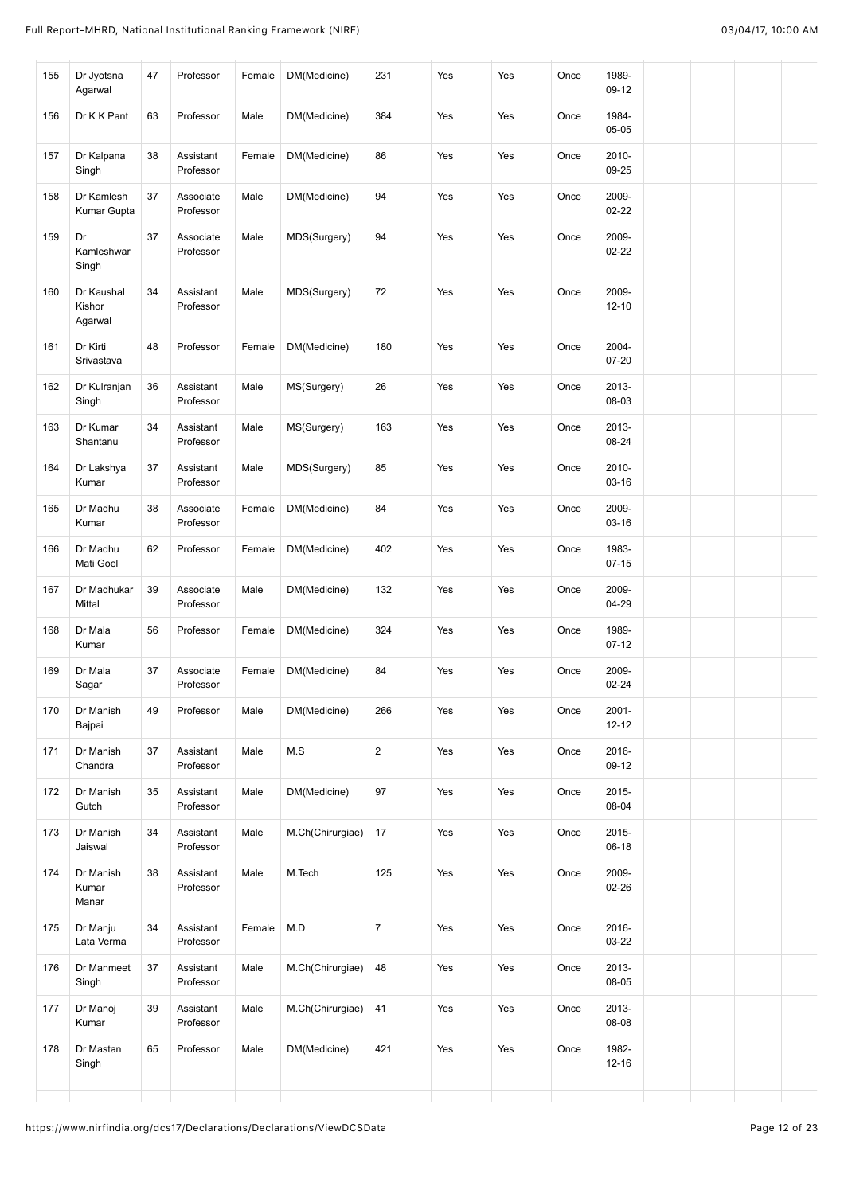| 155 | Dr Jyotsna<br>Agarwal           | 47     | Professor              | Female | DM(Medicine)     | 231              | Yes | Yes | Once | 1989-<br>09-12        |  |  |
|-----|---------------------------------|--------|------------------------|--------|------------------|------------------|-----|-----|------|-----------------------|--|--|
| 156 | Dr K K Pant                     | 63     | Professor              | Male   | DM(Medicine)     | 384              | Yes | Yes | Once | 1984-<br>05-05        |  |  |
| 157 | Dr Kalpana<br>Singh             | 38     | Assistant<br>Professor | Female | DM(Medicine)     | 86               | Yes | Yes | Once | 2010-<br>09-25        |  |  |
| 158 | Dr Kamlesh<br>Kumar Gupta       | 37     | Associate<br>Professor | Male   | DM(Medicine)     | 94               | Yes | Yes | Once | 2009-<br>$02 - 22$    |  |  |
| 159 | Dr<br>Kamleshwar<br>Singh       | 37     | Associate<br>Professor | Male   | MDS(Surgery)     | 94               | Yes | Yes | Once | 2009-<br>$02 - 22$    |  |  |
| 160 | Dr Kaushal<br>Kishor<br>Agarwal | 34     | Assistant<br>Professor | Male   | MDS(Surgery)     | 72               | Yes | Yes | Once | 2009-<br>$12 - 10$    |  |  |
| 161 | Dr Kirti<br>Srivastava          | 48     | Professor              | Female | DM(Medicine)     | 180              | Yes | Yes | Once | 2004-<br>$07 - 20$    |  |  |
| 162 | Dr Kulranjan<br>Singh           | 36     | Assistant<br>Professor | Male   | MS(Surgery)      | 26               | Yes | Yes | Once | 2013-<br>08-03        |  |  |
| 163 | Dr Kumar<br>Shantanu            | 34     | Assistant<br>Professor | Male   | MS(Surgery)      | 163              | Yes | Yes | Once | 2013-<br>08-24        |  |  |
| 164 | Dr Lakshya<br>Kumar             | 37     | Assistant<br>Professor | Male   | MDS(Surgery)     | 85               | Yes | Yes | Once | 2010-<br>03-16        |  |  |
| 165 | Dr Madhu<br>Kumar               | 38     | Associate<br>Professor | Female | DM(Medicine)     | 84               | Yes | Yes | Once | 2009-<br>03-16        |  |  |
| 166 | Dr Madhu<br>Mati Goel           | 62     | Professor              | Female | DM(Medicine)     | 402              | Yes | Yes | Once | 1983-<br>$07 - 15$    |  |  |
| 167 | Dr Madhukar<br>Mittal           | 39     | Associate<br>Professor | Male   | DM(Medicine)     | 132              | Yes | Yes | Once | 2009-<br>04-29        |  |  |
| 168 | Dr Mala<br>Kumar                | 56     | Professor              | Female | DM(Medicine)     | 324              | Yes | Yes | Once | 1989-<br>$07 - 12$    |  |  |
| 169 | Dr Mala<br>Sagar                | 37     | Associate<br>Professor | Female | DM(Medicine)     | 84               | Yes | Yes | Once | 2009-<br>$02 - 24$    |  |  |
| 170 | Dr Manish<br>Bajpai             | 49     | Professor              | Male   | DM(Medicine)     | 266              | Yes | Yes | Once | $2001 -$<br>$12 - 12$ |  |  |
| 171 | Dr Manish<br>Chandra            | 37     | Assistant<br>Professor | Male   | M.S              | $\overline{2}$   | Yes | Yes | Once | 2016-<br>$09-12$      |  |  |
| 172 | Dr Manish<br>Gutch              | 35     | Assistant<br>Professor | Male   | DM(Medicine)     | 97               | Yes | Yes | Once | 2015-<br>08-04        |  |  |
| 173 | Dr Manish<br>Jaiswal            | 34     | Assistant<br>Professor | Male   | M.Ch(Chirurgiae) | 17               | Yes | Yes | Once | 2015-<br>$06-18$      |  |  |
| 174 | Dr Manish<br>Kumar<br>Manar     | 38     | Assistant<br>Professor | Male   | M.Tech           | 125              | Yes | Yes | Once | 2009-<br>$02 - 26$    |  |  |
| 175 | Dr Manju<br>Lata Verma          | 34     | Assistant<br>Professor | Female | M.D              | $\boldsymbol{7}$ | Yes | Yes | Once | 2016-<br>03-22        |  |  |
| 176 | Dr Manmeet<br>Singh             | $37\,$ | Assistant<br>Professor | Male   | M.Ch(Chirurgiae) | 48               | Yes | Yes | Once | 2013-<br>08-05        |  |  |
| 177 | Dr Manoj<br>Kumar               | 39     | Assistant<br>Professor | Male   | M.Ch(Chirurgiae) | 41               | Yes | Yes | Once | 2013-<br>08-08        |  |  |
| 178 | Dr Mastan<br>Singh              | 65     | Professor              | Male   | DM(Medicine)     | 421              | Yes | Yes | Once | 1982-<br>$12 - 16$    |  |  |
|     |                                 |        |                        |        |                  |                  |     |     |      |                       |  |  |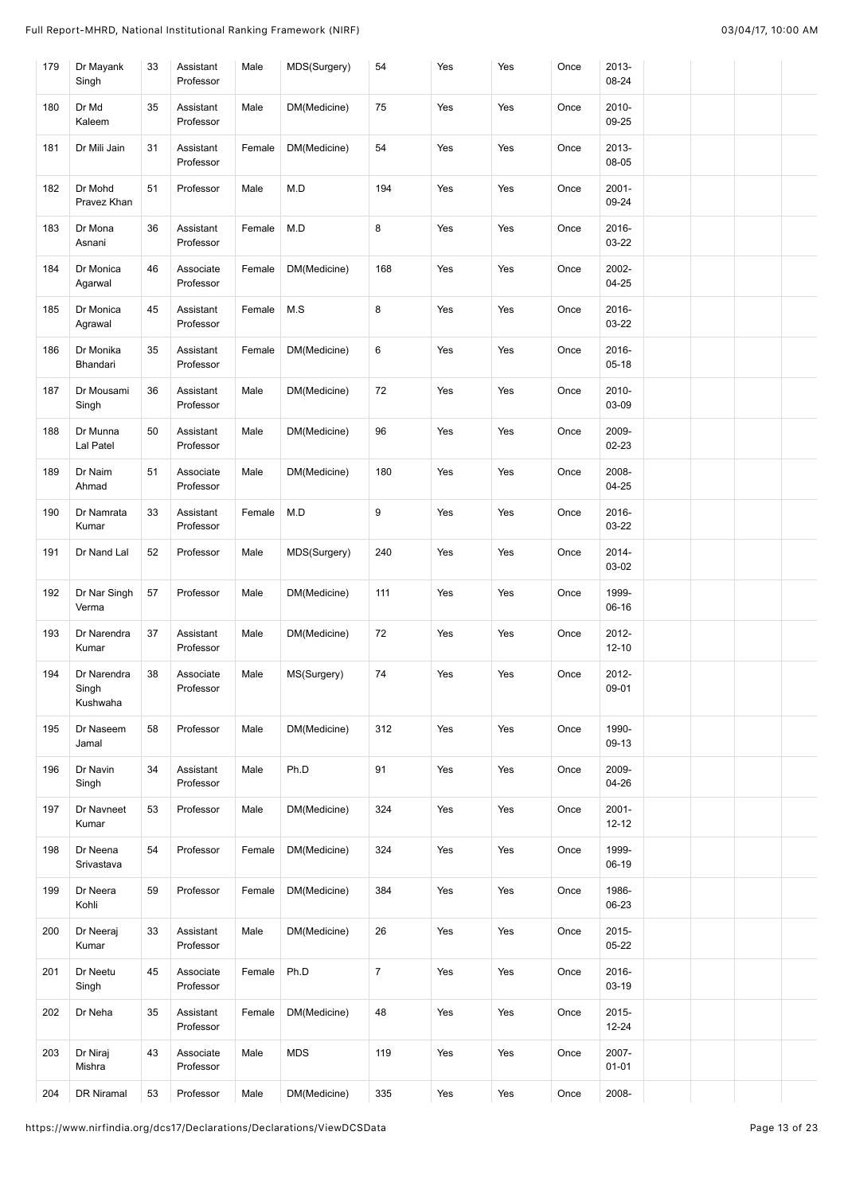| 179 | Dr Mayank<br>Singh               | 33 | Assistant<br>Professor | Male   | MDS(Surgery) | 54             | Yes | Yes | Once | 2013-<br>08-24     |  |  |
|-----|----------------------------------|----|------------------------|--------|--------------|----------------|-----|-----|------|--------------------|--|--|
| 180 | Dr Md<br>Kaleem                  | 35 | Assistant<br>Professor | Male   | DM(Medicine) | 75             | Yes | Yes | Once | 2010-<br>09-25     |  |  |
| 181 | Dr Mili Jain                     | 31 | Assistant<br>Professor | Female | DM(Medicine) | 54             | Yes | Yes | Once | 2013-<br>08-05     |  |  |
| 182 | Dr Mohd<br>Pravez Khan           | 51 | Professor              | Male   | M.D          | 194            | Yes | Yes | Once | $2001 -$<br>09-24  |  |  |
| 183 | Dr Mona<br>Asnani                | 36 | Assistant<br>Professor | Female | M.D          | 8              | Yes | Yes | Once | 2016-<br>03-22     |  |  |
| 184 | Dr Monica<br>Agarwal             | 46 | Associate<br>Professor | Female | DM(Medicine) | 168            | Yes | Yes | Once | 2002-<br>$04 - 25$ |  |  |
| 185 | Dr Monica<br>Agrawal             | 45 | Assistant<br>Professor | Female | M.S          | 8              | Yes | Yes | Once | 2016-<br>03-22     |  |  |
| 186 | Dr Monika<br>Bhandari            | 35 | Assistant<br>Professor | Female | DM(Medicine) | 6              | Yes | Yes | Once | 2016-<br>$05-18$   |  |  |
| 187 | Dr Mousami<br>Singh              | 36 | Assistant<br>Professor | Male   | DM(Medicine) | 72             | Yes | Yes | Once | 2010-<br>03-09     |  |  |
| 188 | Dr Munna<br>Lal Patel            | 50 | Assistant<br>Professor | Male   | DM(Medicine) | 96             | Yes | Yes | Once | 2009-<br>02-23     |  |  |
| 189 | Dr Naim<br>Ahmad                 | 51 | Associate<br>Professor | Male   | DM(Medicine) | 180            | Yes | Yes | Once | 2008-<br>$04 - 25$ |  |  |
| 190 | Dr Namrata<br>Kumar              | 33 | Assistant<br>Professor | Female | M.D          | $\mathsf g$    | Yes | Yes | Once | 2016-<br>03-22     |  |  |
| 191 | Dr Nand Lal                      | 52 | Professor              | Male   | MDS(Surgery) | 240            | Yes | Yes | Once | 2014-<br>03-02     |  |  |
| 192 | Dr Nar Singh<br>Verma            | 57 | Professor              | Male   | DM(Medicine) | 111            | Yes | Yes | Once | 1999-<br>06-16     |  |  |
| 193 | Dr Narendra<br>Kumar             | 37 | Assistant<br>Professor | Male   | DM(Medicine) | 72             | Yes | Yes | Once | 2012-<br>$12 - 10$ |  |  |
| 194 | Dr Narendra<br>Singh<br>Kushwaha | 38 | Associate<br>Professor | Male   | MS(Surgery)  | 74             | Yes | Yes | Once | 2012-<br>09-01     |  |  |
| 195 | Dr Naseem<br>Jamal               | 58 | Professor              | Male   | DM(Medicine) | 312            | Yes | Yes | Once | 1990-<br>09-13     |  |  |
| 196 | Dr Navin<br>Singh                | 34 | Assistant<br>Professor | Male   | Ph.D         | 91             | Yes | Yes | Once | 2009-<br>04-26     |  |  |
| 197 | Dr Navneet<br>Kumar              | 53 | Professor              | Male   | DM(Medicine) | 324            | Yes | Yes | Once | $2001 -$<br>12-12  |  |  |
| 198 | Dr Neena<br>Srivastava           | 54 | Professor              | Female | DM(Medicine) | 324            | Yes | Yes | Once | 1999-<br>06-19     |  |  |
| 199 | Dr Neera<br>Kohli                | 59 | Professor              | Female | DM(Medicine) | 384            | Yes | Yes | Once | 1986-<br>06-23     |  |  |
| 200 | Dr Neeraj<br>Kumar               | 33 | Assistant<br>Professor | Male   | DM(Medicine) | 26             | Yes | Yes | Once | 2015-<br>$05 - 22$ |  |  |
| 201 | Dr Neetu<br>Singh                | 45 | Associate<br>Professor | Female | Ph.D         | $\overline{7}$ | Yes | Yes | Once | 2016-<br>03-19     |  |  |
| 202 | Dr Neha                          | 35 | Assistant<br>Professor | Female | DM(Medicine) | 48             | Yes | Yes | Once | 2015-<br>12-24     |  |  |
| 203 | Dr Niraj<br>Mishra               | 43 | Associate<br>Professor | Male   | <b>MDS</b>   | 119            | Yes | Yes | Once | 2007-<br>$01 - 01$ |  |  |
| 204 | DR Niramal                       | 53 | Professor              | Male   | DM(Medicine) | 335            | Yes | Yes | Once | 2008-              |  |  |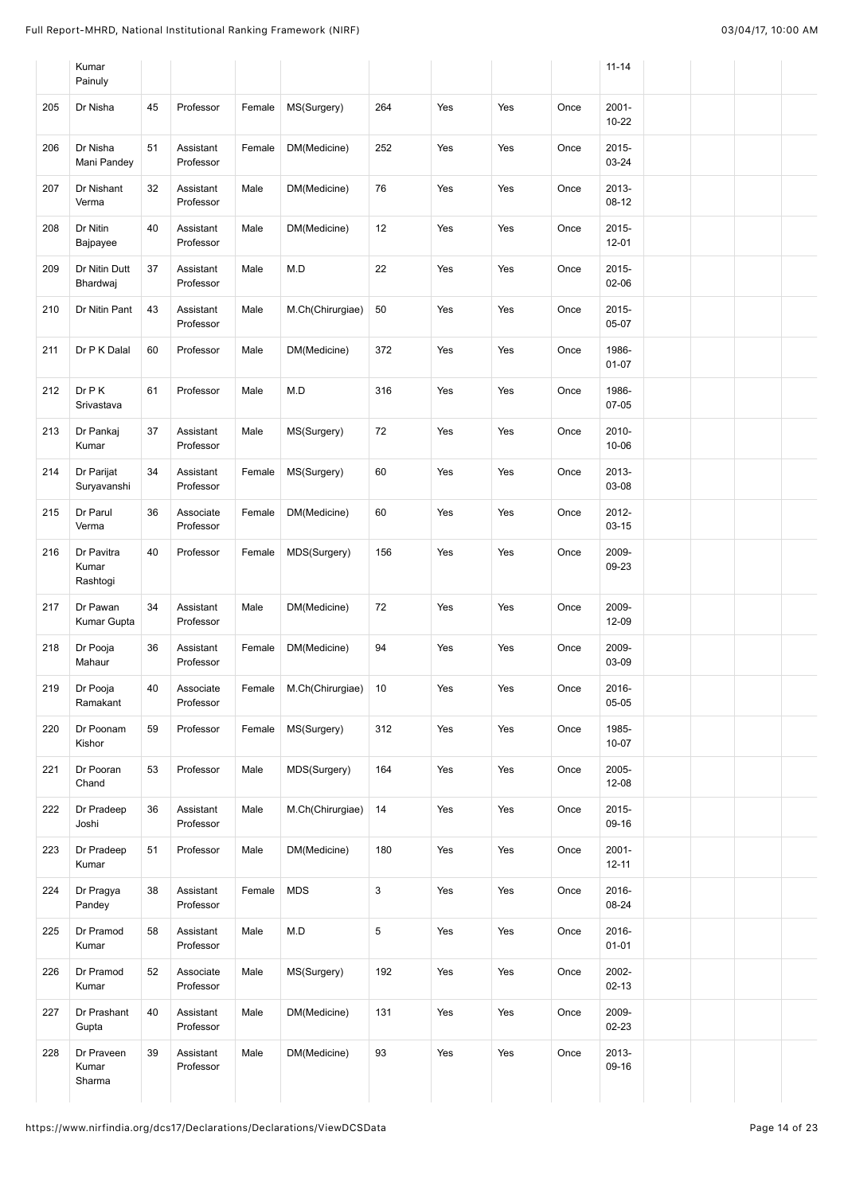|     | Kumar<br>Painuly                |    |                        |        |                  |             |     |     |      | $11 - 14$             |
|-----|---------------------------------|----|------------------------|--------|------------------|-------------|-----|-----|------|-----------------------|
| 205 | Dr Nisha                        | 45 | Professor              | Female | MS(Surgery)      | 264         | Yes | Yes | Once | $2001 -$<br>$10 - 22$ |
| 206 | Dr Nisha<br>Mani Pandey         | 51 | Assistant<br>Professor | Female | DM(Medicine)     | 252         | Yes | Yes | Once | 2015-<br>03-24        |
| 207 | Dr Nishant<br>Verma             | 32 | Assistant<br>Professor | Male   | DM(Medicine)     | 76          | Yes | Yes | Once | 2013-<br>08-12        |
| 208 | Dr Nitin<br>Bajpayee            | 40 | Assistant<br>Professor | Male   | DM(Medicine)     | 12          | Yes | Yes | Once | 2015-<br>$12 - 01$    |
| 209 | Dr Nitin Dutt<br>Bhardwaj       | 37 | Assistant<br>Professor | Male   | M.D              | 22          | Yes | Yes | Once | 2015-<br>02-06        |
| 210 | Dr Nitin Pant                   | 43 | Assistant<br>Professor | Male   | M.Ch(Chirurgiae) | 50          | Yes | Yes | Once | 2015-<br>05-07        |
| 211 | Dr P K Dalal                    | 60 | Professor              | Male   | DM(Medicine)     | 372         | Yes | Yes | Once | 1986-<br>$01 - 07$    |
| 212 | Dr P K<br>Srivastava            | 61 | Professor              | Male   | M.D              | 316         | Yes | Yes | Once | 1986-<br>$07-05$      |
| 213 | Dr Pankaj<br>Kumar              | 37 | Assistant<br>Professor | Male   | MS(Surgery)      | 72          | Yes | Yes | Once | 2010-<br>10-06        |
| 214 | Dr Parijat<br>Suryavanshi       | 34 | Assistant<br>Professor | Female | MS(Surgery)      | 60          | Yes | Yes | Once | 2013-<br>03-08        |
| 215 | Dr Parul<br>Verma               | 36 | Associate<br>Professor | Female | DM(Medicine)     | 60          | Yes | Yes | Once | 2012-<br>$03 - 15$    |
| 216 | Dr Pavitra<br>Kumar<br>Rashtogi | 40 | Professor              | Female | MDS(Surgery)     | 156         | Yes | Yes | Once | 2009-<br>09-23        |
| 217 | Dr Pawan<br>Kumar Gupta         | 34 | Assistant<br>Professor | Male   | DM(Medicine)     | 72          | Yes | Yes | Once | 2009-<br>12-09        |
| 218 | Dr Pooja<br>Mahaur              | 36 | Assistant<br>Professor | Female | DM(Medicine)     | 94          | Yes | Yes | Once | 2009-<br>03-09        |
| 219 | Dr Pooja<br>Ramakant            | 40 | Associate<br>Professor | Female | M.Ch(Chirurgiae) | 10          | Yes | Yes | Once | 2016-<br>05-05        |
| 220 | Dr Poonam<br>Kishor             | 59 | Professor              | Female | MS(Surgery)      | 312         | Yes | Yes | Once | 1985-<br>$10 - 07$    |
| 221 | Dr Pooran<br>Chand              | 53 | Professor              | Male   | MDS(Surgery)     | 164         | Yes | Yes | Once | 2005-<br>$12 - 08$    |
| 222 | Dr Pradeep<br>Joshi             | 36 | Assistant<br>Professor | Male   | M.Ch(Chirurgiae) | 14          | Yes | Yes | Once | 2015-<br>09-16        |
| 223 | Dr Pradeep<br>Kumar             | 51 | Professor              | Male   | DM(Medicine)     | 180         | Yes | Yes | Once | $2001 -$<br>$12 - 11$ |
| 224 | Dr Pragya<br>Pandey             | 38 | Assistant<br>Professor | Female | <b>MDS</b>       | $\mathsf 3$ | Yes | Yes | Once | 2016-<br>08-24        |
| 225 | Dr Pramod<br>Kumar              | 58 | Assistant<br>Professor | Male   | M.D              | $\,$ 5 $\,$ | Yes | Yes | Once | 2016-<br>$01 - 01$    |
| 226 | Dr Pramod<br>Kumar              | 52 | Associate<br>Professor | Male   | MS(Surgery)      | 192         | Yes | Yes | Once | 2002-<br>$02 - 13$    |
| 227 | Dr Prashant<br>Gupta            | 40 | Assistant<br>Professor | Male   | DM(Medicine)     | 131         | Yes | Yes | Once | 2009-<br>$02 - 23$    |
| 228 | Dr Praveen<br>Kumar<br>Sharma   | 39 | Assistant<br>Professor | Male   | DM(Medicine)     | 93          | Yes | Yes | Once | 2013-<br>09-16        |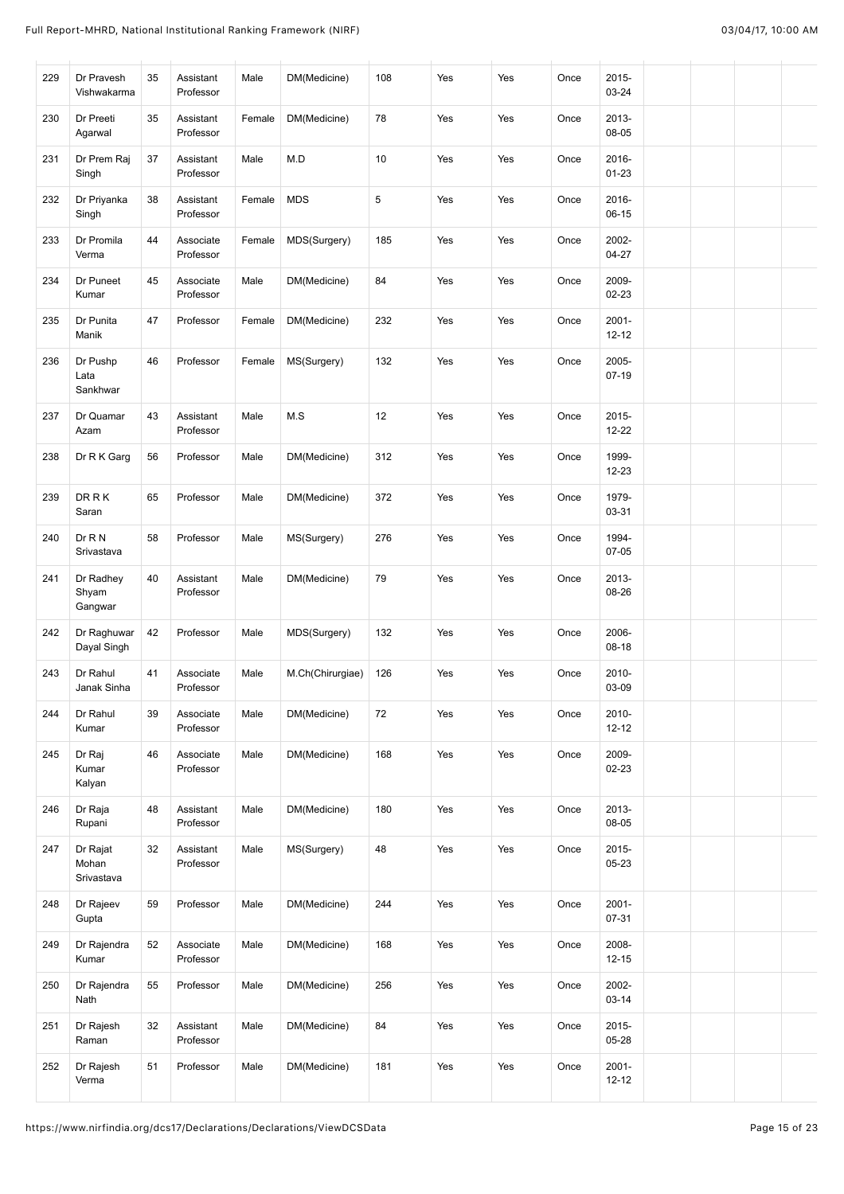| 229 | Dr Pravesh<br>Vishwakarma       | 35 | Assistant<br>Professor | Male   | DM(Medicine)     | 108 | Yes | Yes | Once | 2015-<br>03-24        |  |  |
|-----|---------------------------------|----|------------------------|--------|------------------|-----|-----|-----|------|-----------------------|--|--|
| 230 | Dr Preeti<br>Agarwal            | 35 | Assistant<br>Professor | Female | DM(Medicine)     | 78  | Yes | Yes | Once | 2013-<br>08-05        |  |  |
| 231 | Dr Prem Raj<br>Singh            | 37 | Assistant<br>Professor | Male   | M.D              | 10  | Yes | Yes | Once | 2016-<br>$01 - 23$    |  |  |
| 232 | Dr Priyanka<br>Singh            | 38 | Assistant<br>Professor | Female | <b>MDS</b>       | 5   | Yes | Yes | Once | 2016-<br>$06-15$      |  |  |
| 233 | Dr Promila<br>Verma             | 44 | Associate<br>Professor | Female | MDS(Surgery)     | 185 | Yes | Yes | Once | 2002-<br>$04 - 27$    |  |  |
| 234 | Dr Puneet<br>Kumar              | 45 | Associate<br>Professor | Male   | DM(Medicine)     | 84  | Yes | Yes | Once | 2009-<br>02-23        |  |  |
| 235 | Dr Punita<br>Manik              | 47 | Professor              | Female | DM(Medicine)     | 232 | Yes | Yes | Once | $2001 -$<br>12-12     |  |  |
| 236 | Dr Pushp<br>Lata<br>Sankhwar    | 46 | Professor              | Female | MS(Surgery)      | 132 | Yes | Yes | Once | 2005-<br>$07-19$      |  |  |
| 237 | Dr Quamar<br>Azam               | 43 | Assistant<br>Professor | Male   | M.S              | 12  | Yes | Yes | Once | 2015-<br>$12 - 22$    |  |  |
| 238 | Dr R K Garg                     | 56 | Professor              | Male   | DM(Medicine)     | 312 | Yes | Yes | Once | 1999-<br>12-23        |  |  |
| 239 | <b>DRRK</b><br>Saran            | 65 | Professor              | Male   | DM(Medicine)     | 372 | Yes | Yes | Once | 1979-<br>03-31        |  |  |
| 240 | Dr R N<br>Srivastava            | 58 | Professor              | Male   | MS(Surgery)      | 276 | Yes | Yes | Once | 1994-<br>07-05        |  |  |
| 241 | Dr Radhey<br>Shyam<br>Gangwar   | 40 | Assistant<br>Professor | Male   | DM(Medicine)     | 79  | Yes | Yes | Once | 2013-<br>08-26        |  |  |
| 242 | Dr Raghuwar<br>Dayal Singh      | 42 | Professor              | Male   | MDS(Surgery)     | 132 | Yes | Yes | Once | 2006-<br>$08-18$      |  |  |
| 243 | Dr Rahul<br>Janak Sinha         | 41 | Associate<br>Professor | Male   | M.Ch(Chirurgiae) | 126 | Yes | Yes | Once | 2010-<br>03-09        |  |  |
| 244 | Dr Rahul<br>Kumar               | 39 | Associate<br>Professor | Male   | DM(Medicine)     | 72  | Yes | Yes | Once | 2010-<br>$12 - 12$    |  |  |
| 245 | Dr Raj<br>Kumar<br>Kalyan       | 46 | Associate<br>Professor | Male   | DM(Medicine)     | 168 | Yes | Yes | Once | 2009-<br>02-23        |  |  |
| 246 | Dr Raja<br>Rupani               | 48 | Assistant<br>Professor | Male   | DM(Medicine)     | 180 | Yes | Yes | Once | 2013-<br>08-05        |  |  |
| 247 | Dr Rajat<br>Mohan<br>Srivastava | 32 | Assistant<br>Professor | Male   | MS(Surgery)      | 48  | Yes | Yes | Once | 2015-<br>$05 - 23$    |  |  |
| 248 | Dr Rajeev<br>Gupta              | 59 | Professor              | Male   | DM(Medicine)     | 244 | Yes | Yes | Once | $2001 -$<br>07-31     |  |  |
| 249 | Dr Rajendra<br>Kumar            | 52 | Associate<br>Professor | Male   | DM(Medicine)     | 168 | Yes | Yes | Once | 2008-<br>$12 - 15$    |  |  |
| 250 | Dr Rajendra<br>Nath             | 55 | Professor              | Male   | DM(Medicine)     | 256 | Yes | Yes | Once | 2002-<br>$03 - 14$    |  |  |
| 251 | Dr Rajesh<br>Raman              | 32 | Assistant<br>Professor | Male   | DM(Medicine)     | 84  | Yes | Yes | Once | 2015-<br>05-28        |  |  |
| 252 | Dr Rajesh<br>Verma              | 51 | Professor              | Male   | DM(Medicine)     | 181 | Yes | Yes | Once | $2001 -$<br>$12 - 12$ |  |  |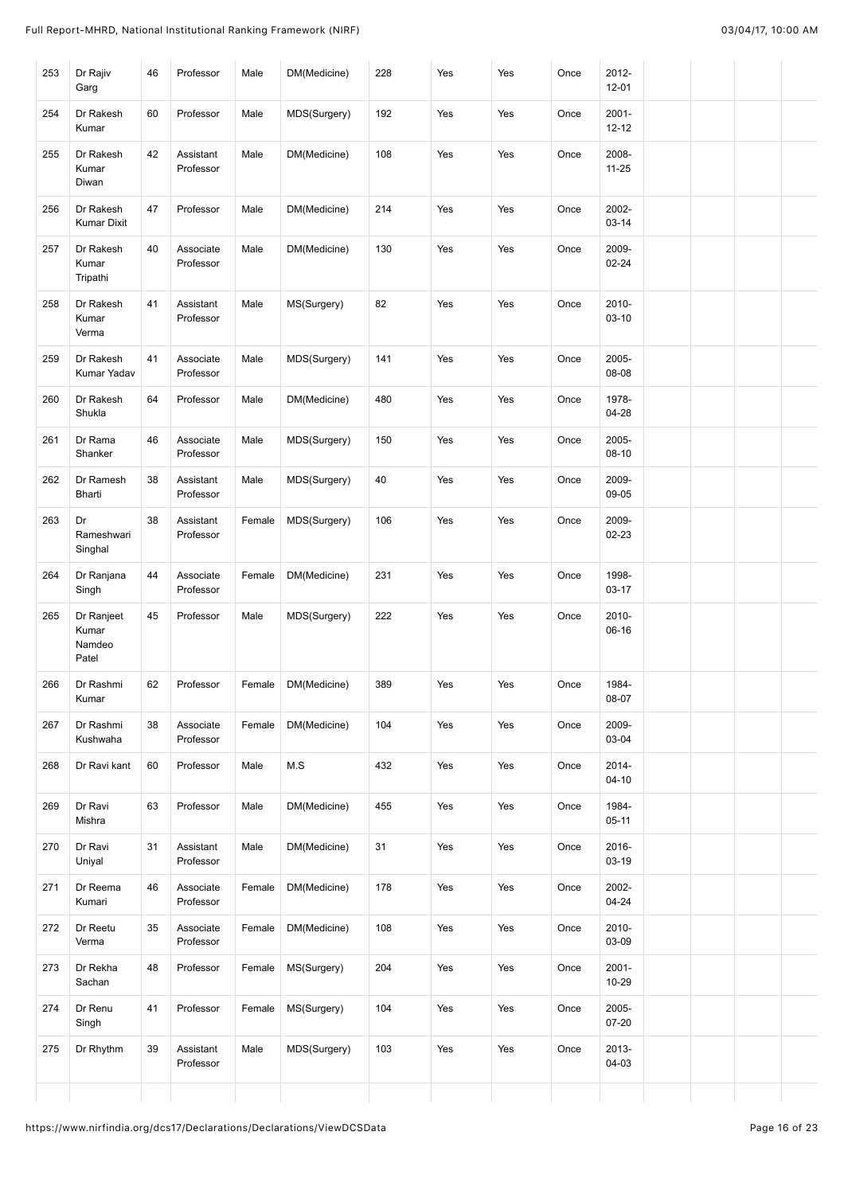| 253 | Dr Rajiv<br>Garg                       | 46 | Professor              | Male   | DM(Medicine) | 228 | Yes | Yes | Once | 2012-<br>$12 - 01$    |  |  |
|-----|----------------------------------------|----|------------------------|--------|--------------|-----|-----|-----|------|-----------------------|--|--|
| 254 | Dr Rakesh<br>Kumar                     | 60 | Professor              | Male   | MDS(Surgery) | 192 | Yes | Yes | Once | $2001 -$<br>$12 - 12$ |  |  |
| 255 | Dr Rakesh<br>Kumar<br>Diwan            | 42 | Assistant<br>Professor | Male   | DM(Medicine) | 108 | Yes | Yes | Once | 2008-<br>$11 - 25$    |  |  |
| 256 | Dr Rakesh<br><b>Kumar Dixit</b>        | 47 | Professor              | Male   | DM(Medicine) | 214 | Yes | Yes | Once | 2002-<br>03-14        |  |  |
| 257 | Dr Rakesh<br>Kumar<br>Tripathi         | 40 | Associate<br>Professor | Male   | DM(Medicine) | 130 | Yes | Yes | Once | 2009-<br>02-24        |  |  |
| 258 | Dr Rakesh<br>Kumar<br>Verma            | 41 | Assistant<br>Professor | Male   | MS(Surgery)  | 82  | Yes | Yes | Once | 2010-<br>$03 - 10$    |  |  |
| 259 | Dr Rakesh<br>Kumar Yadav               | 41 | Associate<br>Professor | Male   | MDS(Surgery) | 141 | Yes | Yes | Once | 2005-<br>08-08        |  |  |
| 260 | Dr Rakesh<br>Shukla                    | 64 | Professor              | Male   | DM(Medicine) | 480 | Yes | Yes | Once | 1978-<br>$04 - 28$    |  |  |
| 261 | Dr Rama<br>Shanker                     | 46 | Associate<br>Professor | Male   | MDS(Surgery) | 150 | Yes | Yes | Once | 2005-<br>$08-10$      |  |  |
| 262 | Dr Ramesh<br>Bharti                    | 38 | Assistant<br>Professor | Male   | MDS(Surgery) | 40  | Yes | Yes | Once | 2009-<br>09-05        |  |  |
| 263 | Dr<br>Rameshwari<br>Singhal            | 38 | Assistant<br>Professor | Female | MDS(Surgery) | 106 | Yes | Yes | Once | 2009-<br>02-23        |  |  |
| 264 | Dr Ranjana<br>Singh                    | 44 | Associate<br>Professor | Female | DM(Medicine) | 231 | Yes | Yes | Once | 1998-<br>03-17        |  |  |
| 265 | Dr Ranjeet<br>Kumar<br>Namdeo<br>Patel | 45 | Professor              | Male   | MDS(Surgery) | 222 | Yes | Yes | Once | 2010-<br>06-16        |  |  |
| 266 | Dr Rashmi<br>Kumar                     | 62 | Professor              | Female | DM(Medicine) | 389 | Yes | Yes | Once | 1984-<br>08-07        |  |  |
| 267 | Dr Rashmi<br>Kushwaha                  | 38 | Associate<br>Professor | Female | DM(Medicine) | 104 | Yes | Yes | Once | 2009-<br>03-04        |  |  |
| 268 | Dr Ravi kant                           | 60 | Professor              | Male   | M.S          | 432 | Yes | Yes | Once | 2014-<br>$04 - 10$    |  |  |
| 269 | Dr Ravi<br>Mishra                      | 63 | Professor              | Male   | DM(Medicine) | 455 | Yes | Yes | Once | 1984-<br>$05-11$      |  |  |
| 270 | Dr Ravi<br>Uniyal                      | 31 | Assistant<br>Professor | Male   | DM(Medicine) | 31  | Yes | Yes | Once | 2016-<br>03-19        |  |  |
| 271 | Dr Reema<br>Kumari                     | 46 | Associate<br>Professor | Female | DM(Medicine) | 178 | Yes | Yes | Once | 2002-<br>$04 - 24$    |  |  |
| 272 | Dr Reetu<br>Verma                      | 35 | Associate<br>Professor | Female | DM(Medicine) | 108 | Yes | Yes | Once | 2010-<br>03-09        |  |  |
| 273 | Dr Rekha<br>Sachan                     | 48 | Professor              | Female | MS(Surgery)  | 204 | Yes | Yes | Once | $2001 -$<br>10-29     |  |  |
| 274 | Dr Renu<br>Singh                       | 41 | Professor              | Female | MS(Surgery)  | 104 | Yes | Yes | Once | 2005-<br>07-20        |  |  |
| 275 | Dr Rhythm                              | 39 | Assistant<br>Professor | Male   | MDS(Surgery) | 103 | Yes | Yes | Once | 2013-<br>04-03        |  |  |
|     |                                        |    |                        |        |              |     |     |     |      |                       |  |  |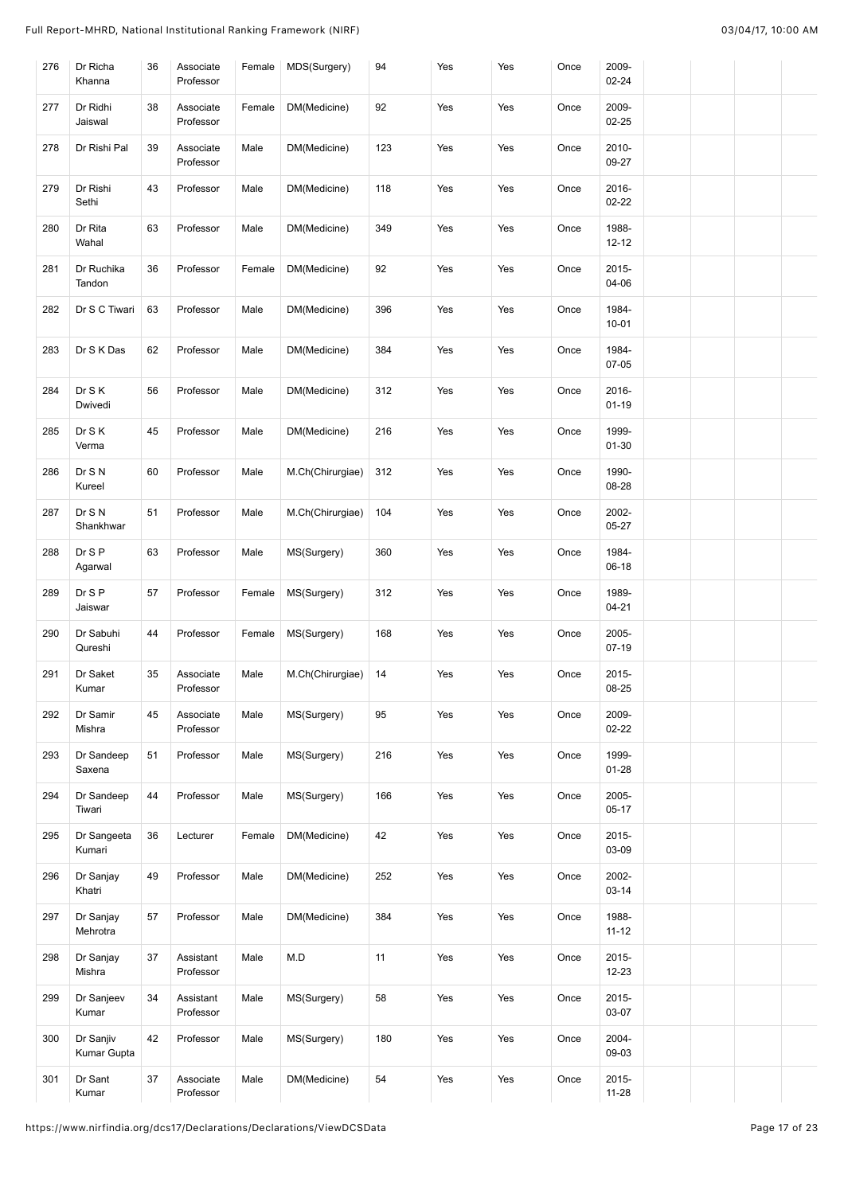| 276 | Dr Richa<br>Khanna       | 36 | Associate<br>Professor | Female | MDS(Surgery)     | 94  | Yes | Yes | Once | 2009-<br>$02 - 24$    |  |  |
|-----|--------------------------|----|------------------------|--------|------------------|-----|-----|-----|------|-----------------------|--|--|
| 277 | Dr Ridhi<br>Jaiswal      | 38 | Associate<br>Professor | Female | DM(Medicine)     | 92  | Yes | Yes | Once | 2009-<br>$02 - 25$    |  |  |
| 278 | Dr Rishi Pal             | 39 | Associate<br>Professor | Male   | DM(Medicine)     | 123 | Yes | Yes | Once | 2010-<br>09-27        |  |  |
| 279 | Dr Rishi<br>Sethi        | 43 | Professor              | Male   | DM(Medicine)     | 118 | Yes | Yes | Once | 2016-<br>$02 - 22$    |  |  |
| 280 | Dr Rita<br>Wahal         | 63 | Professor              | Male   | DM(Medicine)     | 349 | Yes | Yes | Once | 1988-<br>$12 - 12$    |  |  |
| 281 | Dr Ruchika<br>Tandon     | 36 | Professor              | Female | DM(Medicine)     | 92  | Yes | Yes | Once | 2015-<br>04-06        |  |  |
| 282 | Dr S C Tiwari            | 63 | Professor              | Male   | DM(Medicine)     | 396 | Yes | Yes | Once | 1984-<br>$10 - 01$    |  |  |
| 283 | Dr S K Das               | 62 | Professor              | Male   | DM(Medicine)     | 384 | Yes | Yes | Once | 1984-<br>07-05        |  |  |
| 284 | Dr S K<br>Dwivedi        | 56 | Professor              | Male   | DM(Medicine)     | 312 | Yes | Yes | Once | 2016-<br>$01 - 19$    |  |  |
| 285 | Dr S K<br>Verma          | 45 | Professor              | Male   | DM(Medicine)     | 216 | Yes | Yes | Once | 1999-<br>01-30        |  |  |
| 286 | Dr S N<br>Kureel         | 60 | Professor              | Male   | M.Ch(Chirurgiae) | 312 | Yes | Yes | Once | 1990-<br>08-28        |  |  |
| 287 | Dr S N<br>Shankhwar      | 51 | Professor              | Male   | M.Ch(Chirurgiae) | 104 | Yes | Yes | Once | 2002-<br>05-27        |  |  |
| 288 | Dr S P<br>Agarwal        | 63 | Professor              | Male   | MS(Surgery)      | 360 | Yes | Yes | Once | 1984-<br>$06-18$      |  |  |
| 289 | Dr S P<br>Jaiswar        | 57 | Professor              | Female | MS(Surgery)      | 312 | Yes | Yes | Once | 1989-<br>04-21        |  |  |
| 290 | Dr Sabuhi<br>Qureshi     | 44 | Professor              | Female | MS(Surgery)      | 168 | Yes | Yes | Once | 2005-<br>$07-19$      |  |  |
| 291 | Dr Saket<br>Kumar        | 35 | Associate<br>Professor | Male   | M.Ch(Chirurgiae) | 14  | Yes | Yes | Once | 2015-<br>08-25        |  |  |
| 292 | Dr Samir<br>Mishra       | 45 | Associate<br>Professor | Male   | MS(Surgery)      | 95  | Yes | Yes | Once | 2009-<br>$02 - 22$    |  |  |
| 293 | Dr Sandeep<br>Saxena     | 51 | Professor              | Male   | MS(Surgery)      | 216 | Yes | Yes | Once | 1999-<br>$01 - 28$    |  |  |
| 294 | Dr Sandeep<br>Tiwari     | 44 | Professor              | Male   | MS(Surgery)      | 166 | Yes | Yes | Once | 2005-<br>$05 - 17$    |  |  |
| 295 | Dr Sangeeta<br>Kumari    | 36 | Lecturer               | Female | DM(Medicine)     | 42  | Yes | Yes | Once | $2015 -$<br>03-09     |  |  |
| 296 | Dr Sanjay<br>Khatri      | 49 | Professor              | Male   | DM(Medicine)     | 252 | Yes | Yes | Once | 2002-<br>$03 - 14$    |  |  |
| 297 | Dr Sanjay<br>Mehrotra    | 57 | Professor              | Male   | DM(Medicine)     | 384 | Yes | Yes | Once | 1988-<br>$11 - 12$    |  |  |
| 298 | Dr Sanjay<br>Mishra      | 37 | Assistant<br>Professor | Male   | M.D              | 11  | Yes | Yes | Once | 2015-<br>12-23        |  |  |
| 299 | Dr Sanjeev<br>Kumar      | 34 | Assistant<br>Professor | Male   | MS(Surgery)      | 58  | Yes | Yes | Once | $2015 -$<br>03-07     |  |  |
| 300 | Dr Sanjiv<br>Kumar Gupta | 42 | Professor              | Male   | MS(Surgery)      | 180 | Yes | Yes | Once | 2004-<br>09-03        |  |  |
| 301 | Dr Sant<br>Kumar         | 37 | Associate<br>Professor | Male   | DM(Medicine)     | 54  | Yes | Yes | Once | $2015 -$<br>$11 - 28$ |  |  |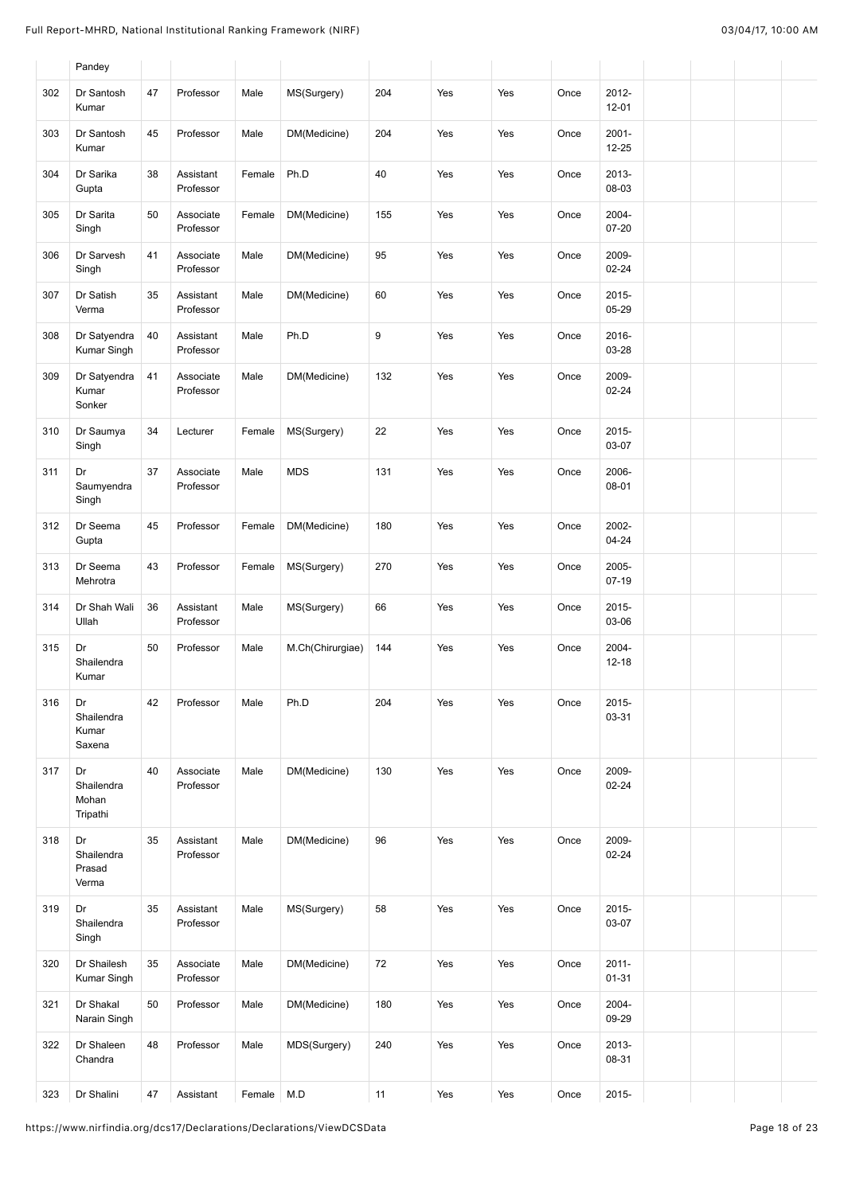|     | Pandey                                |    |                        |        |                  |     |     |     |      |                       |  |  |
|-----|---------------------------------------|----|------------------------|--------|------------------|-----|-----|-----|------|-----------------------|--|--|
| 302 | Dr Santosh<br>Kumar                   | 47 | Professor              | Male   | MS(Surgery)      | 204 | Yes | Yes | Once | 2012-<br>$12 - 01$    |  |  |
| 303 | Dr Santosh<br>Kumar                   | 45 | Professor              | Male   | DM(Medicine)     | 204 | Yes | Yes | Once | $2001 -$<br>$12 - 25$ |  |  |
| 304 | Dr Sarika<br>Gupta                    | 38 | Assistant<br>Professor | Female | Ph.D             | 40  | Yes | Yes | Once | 2013-<br>08-03        |  |  |
| 305 | Dr Sarita<br>Singh                    | 50 | Associate<br>Professor | Female | DM(Medicine)     | 155 | Yes | Yes | Once | 2004-<br>$07 - 20$    |  |  |
| 306 | Dr Sarvesh<br>Singh                   | 41 | Associate<br>Professor | Male   | DM(Medicine)     | 95  | Yes | Yes | Once | 2009-<br>$02 - 24$    |  |  |
| 307 | Dr Satish<br>Verma                    | 35 | Assistant<br>Professor | Male   | DM(Medicine)     | 60  | Yes | Yes | Once | 2015-<br>05-29        |  |  |
| 308 | Dr Satyendra<br>Kumar Singh           | 40 | Assistant<br>Professor | Male   | Ph.D             | 9   | Yes | Yes | Once | 2016-<br>03-28        |  |  |
| 309 | Dr Satyendra<br>Kumar<br>Sonker       | 41 | Associate<br>Professor | Male   | DM(Medicine)     | 132 | Yes | Yes | Once | 2009-<br>$02 - 24$    |  |  |
| 310 | Dr Saumya<br>Singh                    | 34 | Lecturer               | Female | MS(Surgery)      | 22  | Yes | Yes | Once | 2015-<br>03-07        |  |  |
| 311 | Dr<br>Saumyendra<br>Singh             | 37 | Associate<br>Professor | Male   | <b>MDS</b>       | 131 | Yes | Yes | Once | 2006-<br>08-01        |  |  |
| 312 | Dr Seema<br>Gupta                     | 45 | Professor              | Female | DM(Medicine)     | 180 | Yes | Yes | Once | 2002-<br>$04 - 24$    |  |  |
| 313 | Dr Seema<br>Mehrotra                  | 43 | Professor              | Female | MS(Surgery)      | 270 | Yes | Yes | Once | 2005-<br>$07-19$      |  |  |
| 314 | Dr Shah Wali<br>Ullah                 | 36 | Assistant<br>Professor | Male   | MS(Surgery)      | 66  | Yes | Yes | Once | 2015-<br>03-06        |  |  |
| 315 | Dr<br>Shailendra<br>Kumar             | 50 | Professor              | Male   | M.Ch(Chirurgiae) | 144 | Yes | Yes | Once | 2004-<br>$12 - 18$    |  |  |
| 316 | Dr<br>Shailendra<br>Kumar<br>Saxena   | 42 | Professor              | Male   | Ph.D             | 204 | Yes | Yes | Once | 2015-<br>03-31        |  |  |
| 317 | Dr<br>Shailendra<br>Mohan<br>Tripathi | 40 | Associate<br>Professor | Male   | DM(Medicine)     | 130 | Yes | Yes | Once | 2009-<br>$02 - 24$    |  |  |
| 318 | Dr<br>Shailendra<br>Prasad<br>Verma   | 35 | Assistant<br>Professor | Male   | DM(Medicine)     | 96  | Yes | Yes | Once | 2009-<br>$02 - 24$    |  |  |
| 319 | Dr<br>Shailendra<br>Singh             | 35 | Assistant<br>Professor | Male   | MS(Surgery)      | 58  | Yes | Yes | Once | 2015-<br>03-07        |  |  |
| 320 | Dr Shailesh<br>Kumar Singh            | 35 | Associate<br>Professor | Male   | DM(Medicine)     | 72  | Yes | Yes | Once | $2011 -$<br>$01 - 31$ |  |  |
| 321 | Dr Shakal<br>Narain Singh             | 50 | Professor              | Male   | DM(Medicine)     | 180 | Yes | Yes | Once | 2004-<br>09-29        |  |  |
| 322 | Dr Shaleen<br>Chandra                 | 48 | Professor              | Male   | MDS(Surgery)     | 240 | Yes | Yes | Once | 2013-<br>08-31        |  |  |
| 323 | Dr Shalini                            | 47 | Assistant              | Female | M.D              | 11  | Yes | Yes | Once | 2015-                 |  |  |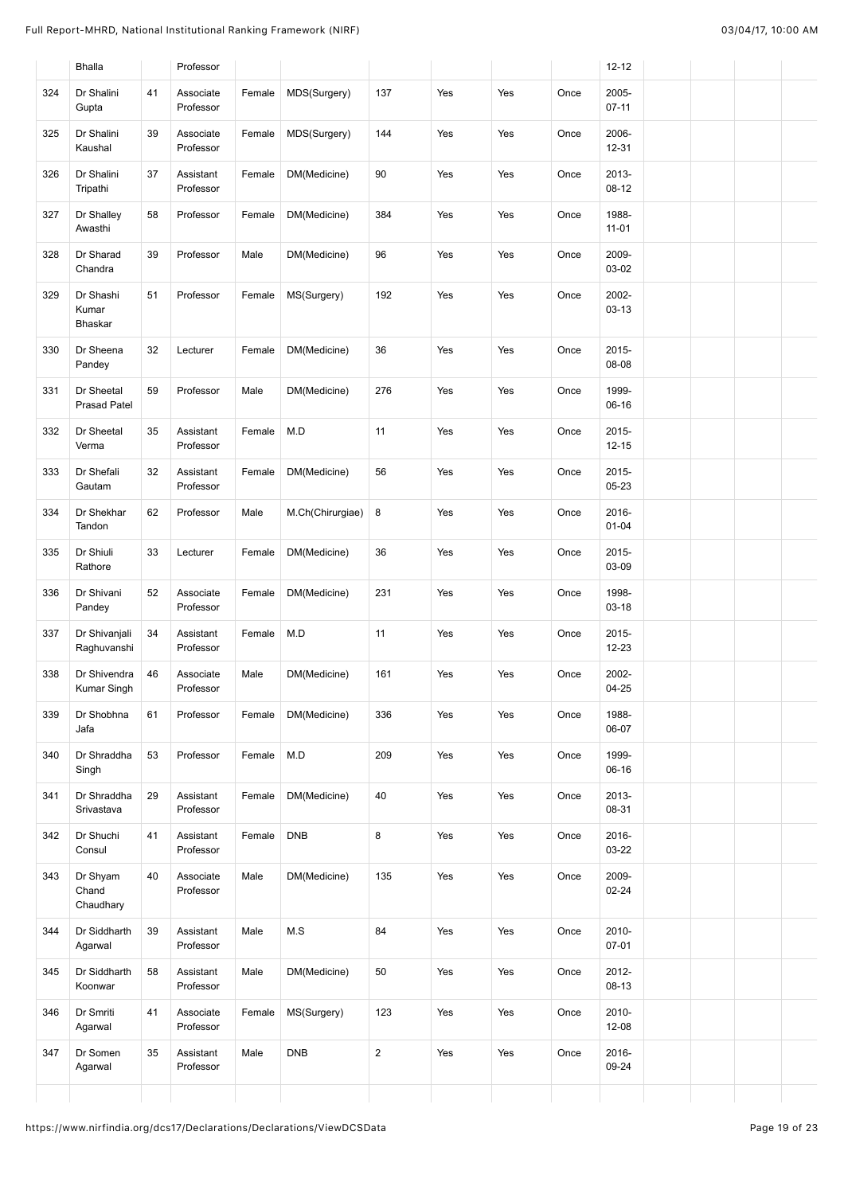|     | <b>Bhalla</b>                     |    | Professor              |        |                  |                |     |     |      | $12 - 12$          |  |  |
|-----|-----------------------------------|----|------------------------|--------|------------------|----------------|-----|-----|------|--------------------|--|--|
| 324 | Dr Shalini<br>Gupta               | 41 | Associate<br>Professor | Female | MDS(Surgery)     | 137            | Yes | Yes | Once | 2005-<br>$07 - 11$ |  |  |
| 325 | Dr Shalini<br>Kaushal             | 39 | Associate<br>Professor | Female | MDS(Surgery)     | 144            | Yes | Yes | Once | 2006-<br>$12 - 31$ |  |  |
| 326 | Dr Shalini<br>Tripathi            | 37 | Assistant<br>Professor | Female | DM(Medicine)     | 90             | Yes | Yes | Once | 2013-<br>$08-12$   |  |  |
| 327 | Dr Shalley<br>Awasthi             | 58 | Professor              | Female | DM(Medicine)     | 384            | Yes | Yes | Once | 1988-<br>$11 - 01$ |  |  |
| 328 | Dr Sharad<br>Chandra              | 39 | Professor              | Male   | DM(Medicine)     | 96             | Yes | Yes | Once | 2009-<br>03-02     |  |  |
| 329 | Dr Shashi<br>Kumar<br>Bhaskar     | 51 | Professor              | Female | MS(Surgery)      | 192            | Yes | Yes | Once | 2002-<br>$03 - 13$ |  |  |
| 330 | Dr Sheena<br>Pandey               | 32 | Lecturer               | Female | DM(Medicine)     | 36             | Yes | Yes | Once | 2015-<br>08-08     |  |  |
| 331 | Dr Sheetal<br><b>Prasad Patel</b> | 59 | Professor              | Male   | DM(Medicine)     | 276            | Yes | Yes | Once | 1999-<br>$06-16$   |  |  |
| 332 | Dr Sheetal<br>Verma               | 35 | Assistant<br>Professor | Female | M.D              | 11             | Yes | Yes | Once | 2015-<br>$12 - 15$ |  |  |
| 333 | Dr Shefali<br>Gautam              | 32 | Assistant<br>Professor | Female | DM(Medicine)     | 56             | Yes | Yes | Once | 2015-<br>$05 - 23$ |  |  |
| 334 | Dr Shekhar<br>Tandon              | 62 | Professor              | Male   | M.Ch(Chirurgiae) | 8              | Yes | Yes | Once | 2016-<br>$01 - 04$ |  |  |
| 335 | Dr Shiuli<br>Rathore              | 33 | Lecturer               | Female | DM(Medicine)     | 36             | Yes | Yes | Once | 2015-<br>03-09     |  |  |
| 336 | Dr Shivani<br>Pandey              | 52 | Associate<br>Professor | Female | DM(Medicine)     | 231            | Yes | Yes | Once | 1998-<br>$03 - 18$ |  |  |
| 337 | Dr Shivanjali<br>Raghuvanshi      | 34 | Assistant<br>Professor | Female | M.D              | 11             | Yes | Yes | Once | 2015-<br>12-23     |  |  |
| 338 | Dr Shivendra<br>Kumar Singh       | 46 | Associate<br>Professor | Male   | DM(Medicine)     | 161            | Yes | Yes | Once | 2002-<br>$04 - 25$ |  |  |
| 339 | Dr Shobhna<br>Jafa                | 61 | Professor              | Female | DM(Medicine)     | 336            | Yes | Yes | Once | 1988-<br>06-07     |  |  |
| 340 | Dr Shraddha<br>Singh              | 53 | Professor              | Female | M.D              | 209            | Yes | Yes | Once | 1999-<br>06-16     |  |  |
| 341 | Dr Shraddha<br>Srivastava         | 29 | Assistant<br>Professor | Female | DM(Medicine)     | 40             | Yes | Yes | Once | 2013-<br>08-31     |  |  |
| 342 | Dr Shuchi<br>Consul               | 41 | Assistant<br>Professor | Female | <b>DNB</b>       | 8              | Yes | Yes | Once | 2016-<br>03-22     |  |  |
| 343 | Dr Shyam<br>Chand<br>Chaudhary    | 40 | Associate<br>Professor | Male   | DM(Medicine)     | 135            | Yes | Yes | Once | 2009-<br>02-24     |  |  |
| 344 | Dr Siddharth<br>Agarwal           | 39 | Assistant<br>Professor | Male   | M.S              | 84             | Yes | Yes | Once | 2010-<br>$07 - 01$ |  |  |
| 345 | Dr Siddharth<br>Koonwar           | 58 | Assistant<br>Professor | Male   | DM(Medicine)     | 50             | Yes | Yes | Once | 2012-<br>08-13     |  |  |
| 346 | Dr Smriti<br>Agarwal              | 41 | Associate<br>Professor | Female | MS(Surgery)      | 123            | Yes | Yes | Once | 2010-<br>12-08     |  |  |
| 347 | Dr Somen<br>Agarwal               | 35 | Assistant              | Male   | <b>DNB</b>       | $\overline{c}$ | Yes | Yes | Once | 2016-<br>09-24     |  |  |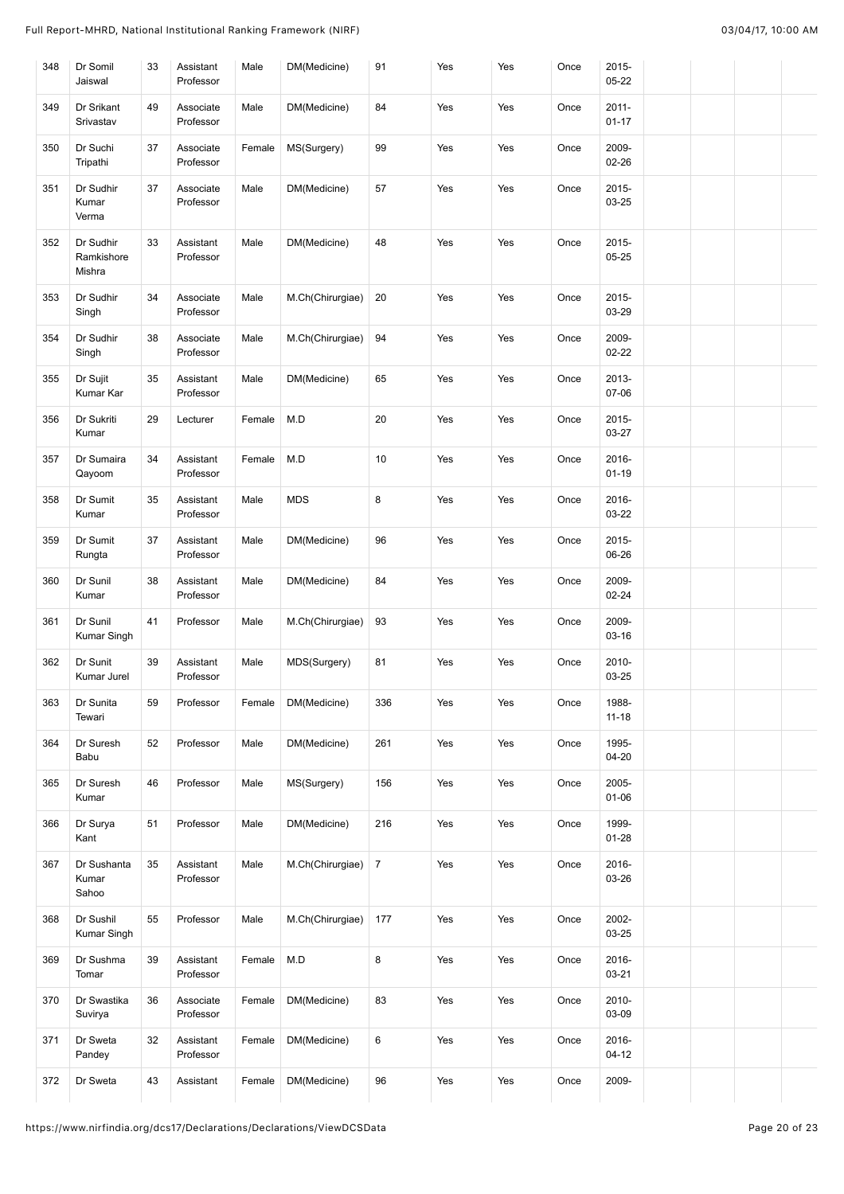| 348 | Dr Somil<br>Jaiswal               | 33 | Assistant<br>Professor | Male   | DM(Medicine)     | 91             | Yes | Yes | Once | 2015-<br>$05 - 22$    |  |  |
|-----|-----------------------------------|----|------------------------|--------|------------------|----------------|-----|-----|------|-----------------------|--|--|
| 349 | Dr Srikant<br>Srivastav           | 49 | Associate<br>Professor | Male   | DM(Medicine)     | 84             | Yes | Yes | Once | $2011 -$<br>$01 - 17$ |  |  |
| 350 | Dr Suchi<br>Tripathi              | 37 | Associate<br>Professor | Female | MS(Surgery)      | 99             | Yes | Yes | Once | 2009-<br>02-26        |  |  |
| 351 | Dr Sudhir<br>Kumar<br>Verma       | 37 | Associate<br>Professor | Male   | DM(Medicine)     | 57             | Yes | Yes | Once | $2015 -$<br>03-25     |  |  |
| 352 | Dr Sudhir<br>Ramkishore<br>Mishra | 33 | Assistant<br>Professor | Male   | DM(Medicine)     | 48             | Yes | Yes | Once | $2015 -$<br>$05 - 25$ |  |  |
| 353 | Dr Sudhir<br>Singh                | 34 | Associate<br>Professor | Male   | M.Ch(Chirurgiae) | 20             | Yes | Yes | Once | 2015-<br>03-29        |  |  |
| 354 | Dr Sudhir<br>Singh                | 38 | Associate<br>Professor | Male   | M.Ch(Chirurgiae) | 94             | Yes | Yes | Once | 2009-<br>$02 - 22$    |  |  |
| 355 | Dr Sujit<br>Kumar Kar             | 35 | Assistant<br>Professor | Male   | DM(Medicine)     | 65             | Yes | Yes | Once | 2013-<br>07-06        |  |  |
| 356 | Dr Sukriti<br>Kumar               | 29 | Lecturer               | Female | M.D              | 20             | Yes | Yes | Once | 2015-<br>03-27        |  |  |
| 357 | Dr Sumaira<br>Qayoom              | 34 | Assistant<br>Professor | Female | M.D              | 10             | Yes | Yes | Once | 2016-<br>$01 - 19$    |  |  |
| 358 | Dr Sumit<br>Kumar                 | 35 | Assistant<br>Professor | Male   | <b>MDS</b>       | 8              | Yes | Yes | Once | 2016-<br>03-22        |  |  |
| 359 | Dr Sumit<br>Rungta                | 37 | Assistant<br>Professor | Male   | DM(Medicine)     | 96             | Yes | Yes | Once | 2015-<br>06-26        |  |  |
| 360 | Dr Sunil<br>Kumar                 | 38 | Assistant<br>Professor | Male   | DM(Medicine)     | 84             | Yes | Yes | Once | 2009-<br>02-24        |  |  |
| 361 | Dr Sunil<br>Kumar Singh           | 41 | Professor              | Male   | M.Ch(Chirurgiae) | 93             | Yes | Yes | Once | 2009-<br>03-16        |  |  |
| 362 | Dr Sunit<br>Kumar Jurel           | 39 | Assistant<br>Professor | Male   | MDS(Surgery)     | 81             | Yes | Yes | Once | 2010-<br>03-25        |  |  |
| 363 | Dr Sunita<br>Tewari               | 59 | Professor              | Female | DM(Medicine)     | 336            | Yes | Yes | Once | 1988-<br>$11 - 18$    |  |  |
| 364 | Dr Suresh<br>Babu                 | 52 | Professor              | Male   | DM(Medicine)     | 261            | Yes | Yes | Once | 1995-<br>$04 - 20$    |  |  |
| 365 | Dr Suresh<br>Kumar                | 46 | Professor              | Male   | MS(Surgery)      | 156            | Yes | Yes | Once | 2005-<br>01-06        |  |  |
| 366 | Dr Surya<br>Kant                  | 51 | Professor              | Male   | DM(Medicine)     | 216            | Yes | Yes | Once | 1999-<br>$01 - 28$    |  |  |
| 367 | Dr Sushanta<br>Kumar<br>Sahoo     | 35 | Assistant<br>Professor | Male   | M.Ch(Chirurgiae) | $\overline{7}$ | Yes | Yes | Once | 2016-<br>03-26        |  |  |
| 368 | Dr Sushil<br>Kumar Singh          | 55 | Professor              | Male   | M.Ch(Chirurgiae) | 177            | Yes | Yes | Once | 2002-<br>03-25        |  |  |
| 369 | Dr Sushma<br>Tomar                | 39 | Assistant<br>Professor | Female | M.D              | 8              | Yes | Yes | Once | 2016-<br>03-21        |  |  |
| 370 | Dr Swastika<br>Suvirya            | 36 | Associate<br>Professor | Female | DM(Medicine)     | 83             | Yes | Yes | Once | 2010-<br>03-09        |  |  |
| 371 | Dr Sweta<br>Pandey                | 32 | Assistant<br>Professor | Female | DM(Medicine)     | 6              | Yes | Yes | Once | 2016-<br>$04 - 12$    |  |  |
| 372 | Dr Sweta                          | 43 | Assistant              | Female | DM(Medicine)     | 96             | Yes | Yes | Once | 2009-                 |  |  |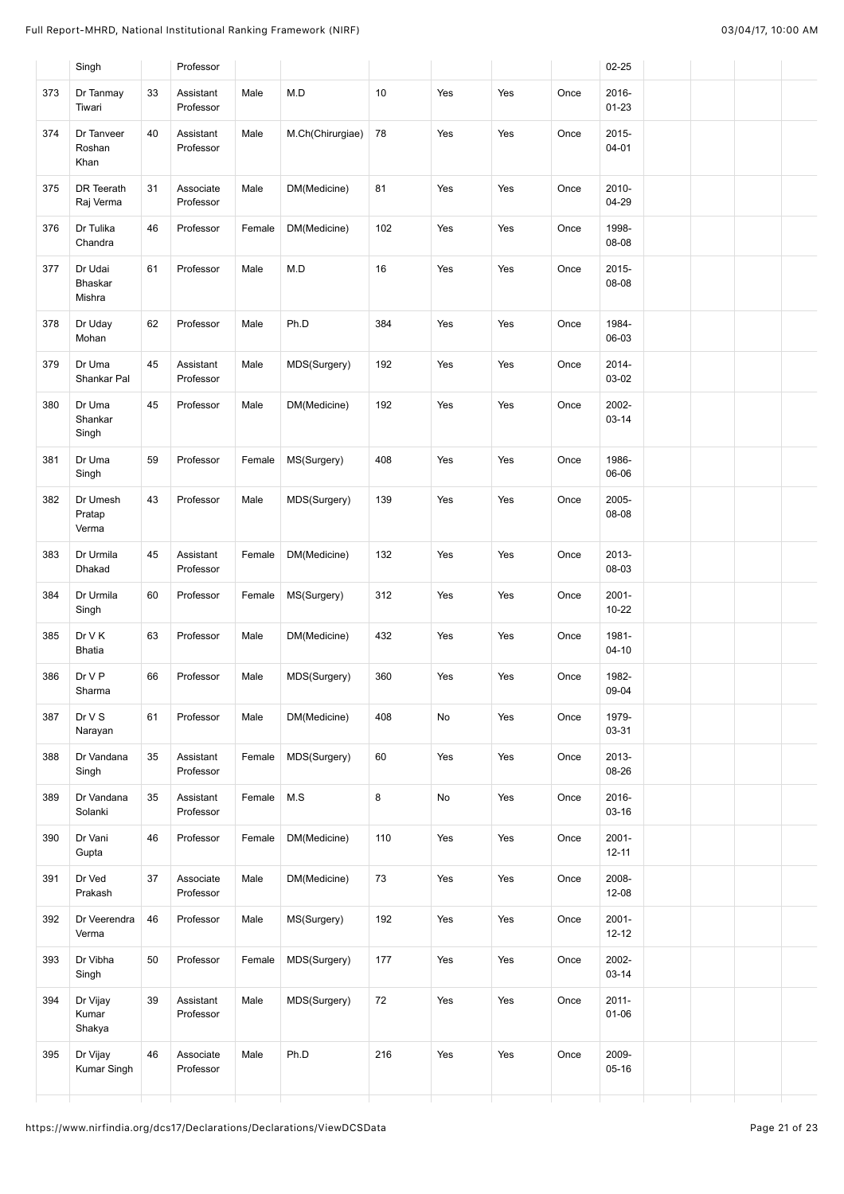|     | Singh                        |    | Professor              |        |                  |     |     |     |      | $02 - 25$             |  |
|-----|------------------------------|----|------------------------|--------|------------------|-----|-----|-----|------|-----------------------|--|
| 373 | Dr Tanmay<br>Tiwari          | 33 | Assistant<br>Professor | Male   | M.D              | 10  | Yes | Yes | Once | 2016-<br>$01 - 23$    |  |
| 374 | Dr Tanveer<br>Roshan<br>Khan | 40 | Assistant<br>Professor | Male   | M.Ch(Chirurgiae) | 78  | Yes | Yes | Once | 2015-<br>$04 - 01$    |  |
| 375 | DR Teerath<br>Raj Verma      | 31 | Associate<br>Professor | Male   | DM(Medicine)     | 81  | Yes | Yes | Once | 2010-<br>04-29        |  |
| 376 | Dr Tulika<br>Chandra         | 46 | Professor              | Female | DM(Medicine)     | 102 | Yes | Yes | Once | 1998-<br>08-08        |  |
| 377 | Dr Udai<br>Bhaskar<br>Mishra | 61 | Professor              | Male   | M.D              | 16  | Yes | Yes | Once | 2015-<br>08-08        |  |
| 378 | Dr Uday<br>Mohan             | 62 | Professor              | Male   | Ph.D             | 384 | Yes | Yes | Once | 1984-<br>06-03        |  |
| 379 | Dr Uma<br>Shankar Pal        | 45 | Assistant<br>Professor | Male   | MDS(Surgery)     | 192 | Yes | Yes | Once | 2014-<br>03-02        |  |
| 380 | Dr Uma<br>Shankar<br>Singh   | 45 | Professor              | Male   | DM(Medicine)     | 192 | Yes | Yes | Once | 2002-<br>$03 - 14$    |  |
| 381 | Dr Uma<br>Singh              | 59 | Professor              | Female | MS(Surgery)      | 408 | Yes | Yes | Once | 1986-<br>06-06        |  |
| 382 | Dr Umesh<br>Pratap<br>Verma  | 43 | Professor              | Male   | MDS(Surgery)     | 139 | Yes | Yes | Once | 2005-<br>08-08        |  |
| 383 | Dr Urmila<br>Dhakad          | 45 | Assistant<br>Professor | Female | DM(Medicine)     | 132 | Yes | Yes | Once | 2013-<br>08-03        |  |
| 384 | Dr Urmila<br>Singh           | 60 | Professor              | Female | MS(Surgery)      | 312 | Yes | Yes | Once | $2001 -$<br>$10 - 22$ |  |
| 385 | Dr V K<br><b>Bhatia</b>      | 63 | Professor              | Male   | DM(Medicine)     | 432 | Yes | Yes | Once | 1981-<br>04-10        |  |
| 386 | Dr V P<br>Sharma             | 66 | Professor              | Male   | MDS(Surgery)     | 360 | Yes | Yes | Once | 1982-<br>09-04        |  |
| 387 | Dr V S<br>Narayan            | 61 | Professor              | Male   | DM(Medicine)     | 408 | No  | Yes | Once | 1979-<br>03-31        |  |
| 388 | Dr Vandana<br>Singh          | 35 | Assistant<br>Professor | Female | MDS(Surgery)     | 60  | Yes | Yes | Once | 2013-<br>08-26        |  |
| 389 | Dr Vandana<br>Solanki        | 35 | Assistant<br>Professor | Female | M.S              | 8   | No  | Yes | Once | 2016-<br>03-16        |  |
| 390 | Dr Vani<br>Gupta             | 46 | Professor              | Female | DM(Medicine)     | 110 | Yes | Yes | Once | $2001 -$<br>$12 - 11$ |  |
| 391 | Dr Ved<br>Prakash            | 37 | Associate<br>Professor | Male   | DM(Medicine)     | 73  | Yes | Yes | Once | 2008-<br>12-08        |  |
| 392 | Dr Veerendra<br>Verma        | 46 | Professor              | Male   | MS(Surgery)      | 192 | Yes | Yes | Once | $2001 -$<br>$12 - 12$ |  |
| 393 | Dr Vibha<br>Singh            | 50 | Professor              | Female | MDS(Surgery)     | 177 | Yes | Yes | Once | 2002-<br>03-14        |  |
| 394 | Dr Vijay<br>Kumar<br>Shakya  | 39 | Assistant<br>Professor | Male   | MDS(Surgery)     | 72  | Yes | Yes | Once | $2011 -$<br>$01 - 06$ |  |
| 395 | Dr Vijay<br>Kumar Singh      | 46 | Associate<br>Professor | Male   | Ph.D             | 216 | Yes | Yes | Once | 2009-<br>$05 - 16$    |  |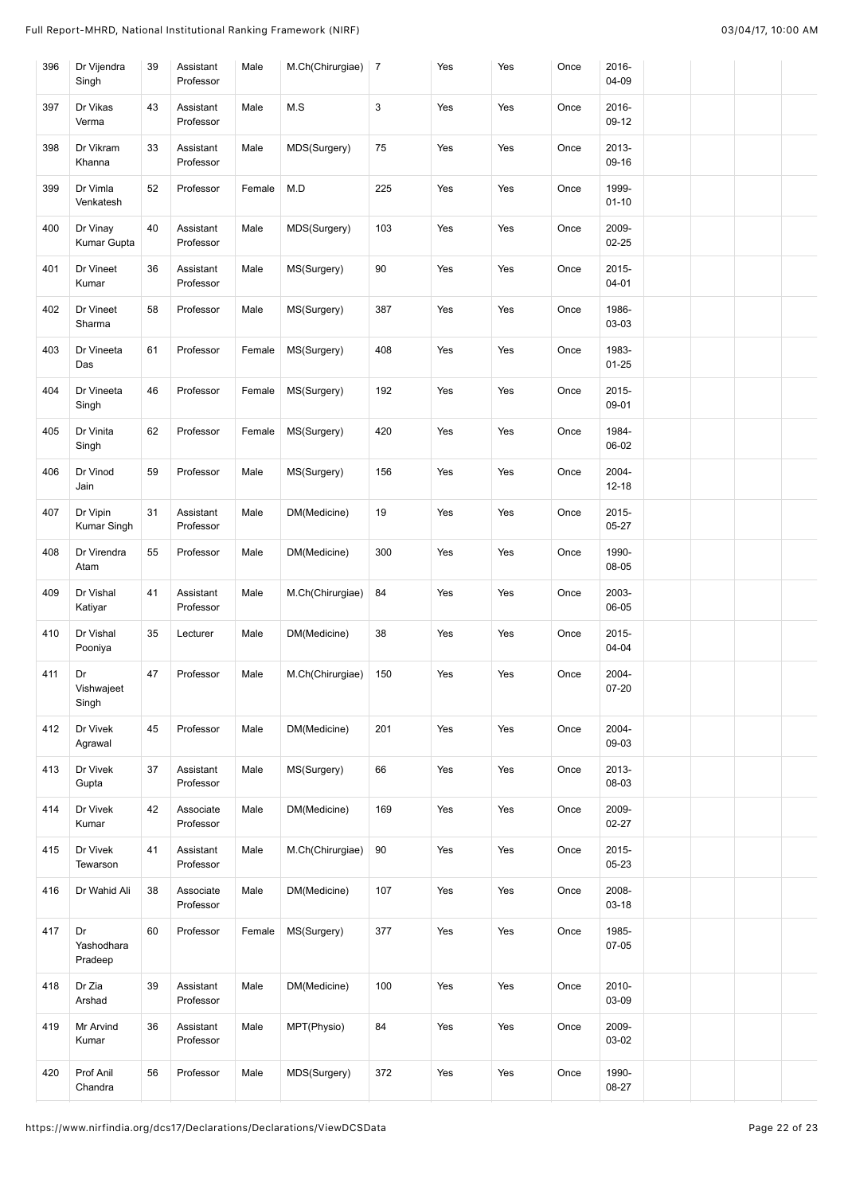| 396 | Dr Vijendra<br>Singh        | 39 | Assistant<br>Professor | Male   | M.Ch(Chirurgiae) 7 |     | Yes | Yes | Once | 2016-<br>04-09     |  |  |
|-----|-----------------------------|----|------------------------|--------|--------------------|-----|-----|-----|------|--------------------|--|--|
| 397 | Dr Vikas<br>Verma           | 43 | Assistant<br>Professor | Male   | M.S                | 3   | Yes | Yes | Once | 2016-<br>$09-12$   |  |  |
| 398 | Dr Vikram<br>Khanna         | 33 | Assistant<br>Professor | Male   | MDS(Surgery)       | 75  | Yes | Yes | Once | 2013-<br>$09-16$   |  |  |
| 399 | Dr Vimla<br>Venkatesh       | 52 | Professor              | Female | M.D                | 225 | Yes | Yes | Once | 1999-<br>$01 - 10$ |  |  |
| 400 | Dr Vinay<br>Kumar Gupta     | 40 | Assistant<br>Professor | Male   | MDS(Surgery)       | 103 | Yes | Yes | Once | 2009-<br>$02 - 25$ |  |  |
| 401 | Dr Vineet<br>Kumar          | 36 | Assistant<br>Professor | Male   | MS(Surgery)        | 90  | Yes | Yes | Once | 2015-<br>$04 - 01$ |  |  |
| 402 | Dr Vineet<br>Sharma         | 58 | Professor              | Male   | MS(Surgery)        | 387 | Yes | Yes | Once | 1986-<br>03-03     |  |  |
| 403 | Dr Vineeta<br>Das           | 61 | Professor              | Female | MS(Surgery)        | 408 | Yes | Yes | Once | 1983-<br>$01 - 25$ |  |  |
| 404 | Dr Vineeta<br>Singh         | 46 | Professor              | Female | MS(Surgery)        | 192 | Yes | Yes | Once | 2015-<br>09-01     |  |  |
| 405 | Dr Vinita<br>Singh          | 62 | Professor              | Female | MS(Surgery)        | 420 | Yes | Yes | Once | 1984-<br>06-02     |  |  |
| 406 | Dr Vinod<br>Jain            | 59 | Professor              | Male   | MS(Surgery)        | 156 | Yes | Yes | Once | 2004-<br>$12 - 18$ |  |  |
| 407 | Dr Vipin<br>Kumar Singh     | 31 | Assistant<br>Professor | Male   | DM(Medicine)       | 19  | Yes | Yes | Once | 2015-<br>$05 - 27$ |  |  |
| 408 | Dr Virendra<br>Atam         | 55 | Professor              | Male   | DM(Medicine)       | 300 | Yes | Yes | Once | 1990-<br>08-05     |  |  |
| 409 | Dr Vishal<br>Katiyar        | 41 | Assistant<br>Professor | Male   | M.Ch(Chirurgiae)   | 84  | Yes | Yes | Once | 2003-<br>06-05     |  |  |
| 410 | Dr Vishal<br>Pooniya        | 35 | Lecturer               | Male   | DM(Medicine)       | 38  | Yes | Yes | Once | 2015-<br>$04 - 04$ |  |  |
| 411 | Dr<br>Vishwajeet<br>Singh   | 47 | Professor              | Male   | M.Ch(Chirurgiae)   | 150 | Yes | Yes | Once | 2004-<br>07-20     |  |  |
| 412 | Dr Vivek<br>Agrawal         | 45 | Professor              | Male   | DM(Medicine)       | 201 | Yes | Yes | Once | 2004-<br>09-03     |  |  |
| 413 | Dr Vivek<br>Gupta           | 37 | Assistant<br>Professor | Male   | MS(Surgery)        | 66  | Yes | Yes | Once | 2013-<br>08-03     |  |  |
| 414 | Dr Vivek<br>Kumar           | 42 | Associate<br>Professor | Male   | DM(Medicine)       | 169 | Yes | Yes | Once | 2009-<br>$02 - 27$ |  |  |
| 415 | Dr Vivek<br>Tewarson        | 41 | Assistant<br>Professor | Male   | M.Ch(Chirurgiae)   | 90  | Yes | Yes | Once | 2015-<br>05-23     |  |  |
| 416 | Dr Wahid Ali                | 38 | Associate<br>Professor | Male   | DM(Medicine)       | 107 | Yes | Yes | Once | 2008-<br>03-18     |  |  |
| 417 | Dr<br>Yashodhara<br>Pradeep | 60 | Professor              | Female | MS(Surgery)        | 377 | Yes | Yes | Once | 1985-<br>$07 - 05$ |  |  |
| 418 | Dr Zia<br>Arshad            | 39 | Assistant<br>Professor | Male   | DM(Medicine)       | 100 | Yes | Yes | Once | 2010-<br>03-09     |  |  |
| 419 | Mr Arvind<br>Kumar          | 36 | Assistant<br>Professor | Male   | MPT(Physio)        | 84  | Yes | Yes | Once | 2009-<br>03-02     |  |  |
| 420 | Prof Anil<br>Chandra        | 56 | Professor              | Male   | MDS(Surgery)       | 372 | Yes | Yes | Once | 1990-<br>08-27     |  |  |